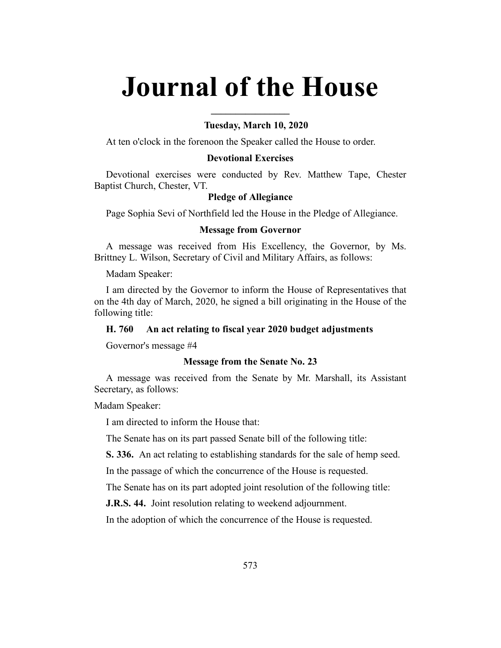# **Journal of the House**

**\_\_\_\_\_\_\_\_\_\_\_\_\_\_\_\_**

# **Tuesday, March 10, 2020**

At ten o'clock in the forenoon the Speaker called the House to order.

# **Devotional Exercises**

Devotional exercises were conducted by Rev. Matthew Tape, Chester Baptist Church, Chester, VT.

# **Pledge of Allegiance**

Page Sophia Sevi of Northfield led the House in the Pledge of Allegiance.

# **Message from Governor**

A message was received from His Excellency, the Governor, by Ms. Brittney L. Wilson, Secretary of Civil and Military Affairs, as follows:

Madam Speaker:

I am directed by the Governor to inform the House of Representatives that on the 4th day of March, 2020, he signed a bill originating in the House of the following title:

# **H. 760 An act relating to fiscal year 2020 budget adjustments**

Governor's message #4

#### **Message from the Senate No. 23**

A message was received from the Senate by Mr. Marshall, its Assistant Secretary, as follows:

Madam Speaker:

I am directed to inform the House that:

The Senate has on its part passed Senate bill of the following title:

**S. 336.** An act relating to establishing standards for the sale of hemp seed.

In the passage of which the concurrence of the House is requested.

The Senate has on its part adopted joint resolution of the following title:

**J.R.S. 44.** Joint resolution relating to weekend adjournment.

In the adoption of which the concurrence of the House is requested.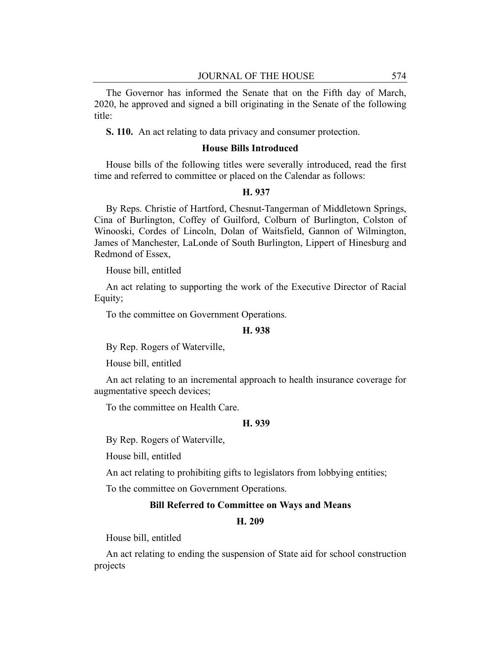The Governor has informed the Senate that on the Fifth day of March, 2020, he approved and signed a bill originating in the Senate of the following title:

**S. 110.** An act relating to data privacy and consumer protection.

# **House Bills Introduced**

House bills of the following titles were severally introduced, read the first time and referred to committee or placed on the Calendar as follows:

#### **H. 937**

By Reps. Christie of Hartford, Chesnut-Tangerman of Middletown Springs, Cina of Burlington, Coffey of Guilford, Colburn of Burlington, Colston of Winooski, Cordes of Lincoln, Dolan of Waitsfield, Gannon of Wilmington, James of Manchester, LaLonde of South Burlington, Lippert of Hinesburg and Redmond of Essex,

House bill, entitled

An act relating to supporting the work of the Executive Director of Racial Equity;

To the committee on Government Operations.

#### **H. 938**

By Rep. Rogers of Waterville,

House bill, entitled

An act relating to an incremental approach to health insurance coverage for augmentative speech devices;

To the committee on Health Care.

#### **H. 939**

By Rep. Rogers of Waterville,

House bill, entitled

An act relating to prohibiting gifts to legislators from lobbying entities;

To the committee on Government Operations.

# **Bill Referred to Committee on Ways and Means**

#### **H. 209**

House bill, entitled

An act relating to ending the suspension of State aid for school construction projects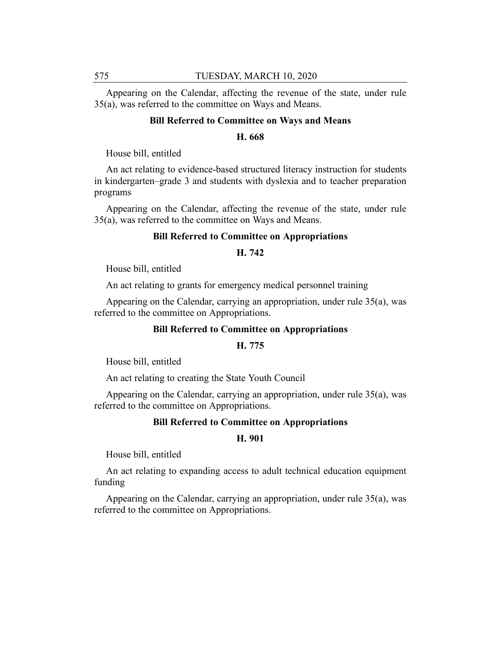Appearing on the Calendar, affecting the revenue of the state, under rule 35(a), was referred to the committee on Ways and Means.

#### **Bill Referred to Committee on Ways and Means**

#### **H. 668**

House bill, entitled

An act relating to evidence-based structured literacy instruction for students in kindergarten–grade 3 and students with dyslexia and to teacher preparation programs

Appearing on the Calendar, affecting the revenue of the state, under rule 35(a), was referred to the committee on Ways and Means.

## **Bill Referred to Committee on Appropriations**

# **H. 742**

House bill, entitled

An act relating to grants for emergency medical personnel training

Appearing on the Calendar, carrying an appropriation, under rule 35(a), was referred to the committee on Appropriations.

#### **Bill Referred to Committee on Appropriations**

#### **H. 775**

House bill, entitled

An act relating to creating the State Youth Council

Appearing on the Calendar, carrying an appropriation, under rule 35(a), was referred to the committee on Appropriations.

# **Bill Referred to Committee on Appropriations**

#### **H. 901**

House bill, entitled

An act relating to expanding access to adult technical education equipment funding

Appearing on the Calendar, carrying an appropriation, under rule 35(a), was referred to the committee on Appropriations.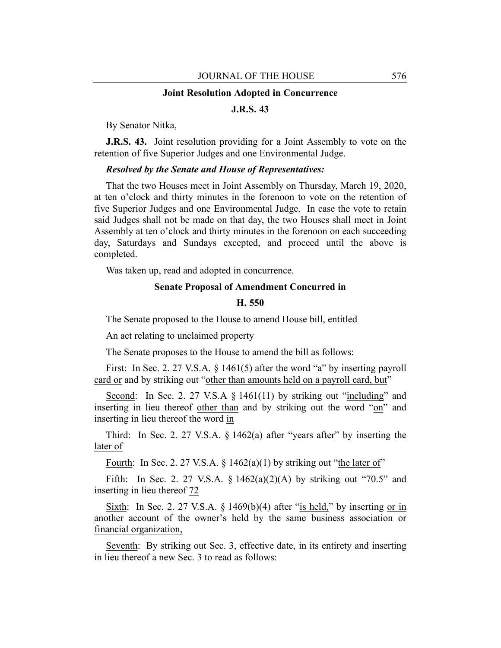#### **Joint Resolution Adopted in Concurrence**

# **J.R.S. 43**

By Senator Nitka,

**J.R.S. 43.** Joint resolution providing for a Joint Assembly to vote on the retention of five Superior Judges and one Environmental Judge.

## *Resolved by the Senate and House of Representatives:*

That the two Houses meet in Joint Assembly on Thursday, March 19, 2020, at ten o'clock and thirty minutes in the forenoon to vote on the retention of five Superior Judges and one Environmental Judge. In case the vote to retain said Judges shall not be made on that day, the two Houses shall meet in Joint Assembly at ten o'clock and thirty minutes in the forenoon on each succeeding day, Saturdays and Sundays excepted, and proceed until the above is completed.

Was taken up, read and adopted in concurrence.

# **Senate Proposal of Amendment Concurred in**

# **H. 550**

The Senate proposed to the House to amend House bill, entitled

An act relating to unclaimed property

The Senate proposes to the House to amend the bill as follows:

First: In Sec. 2. 27 V.S.A. § 1461(5) after the word "a" by inserting payroll card or and by striking out "other than amounts held on a payroll card, but"

Second: In Sec. 2. 27 V.S.A § 1461(11) by striking out "including" and inserting in lieu thereof other than and by striking out the word "on" and inserting in lieu thereof the word in

Third: In Sec. 2. 27 V.S.A. § 1462(a) after "years after" by inserting the later of

Fourth: In Sec. 2. 27 V.S.A.  $\S$  1462(a)(1) by striking out "the later of"

Fifth: In Sec. 2. 27 V.S.A.  $\S$  1462(a)(2)(A) by striking out "70.5" and inserting in lieu thereof 72

Sixth: In Sec. 2. 27 V.S.A.  $\S$  1469(b)(4) after "is held," by inserting or in another account of the owner's held by the same business association or financial organization,

Seventh: By striking out Sec. 3, effective date, in its entirety and inserting in lieu thereof a new Sec. 3 to read as follows: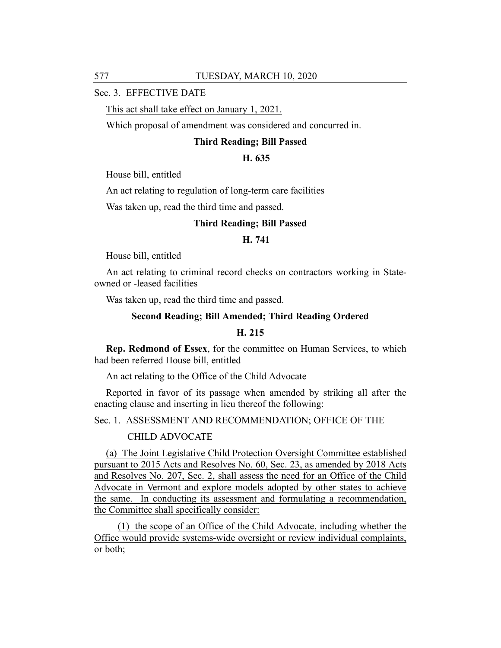# Sec. 3. EFFECTIVE DATE

This act shall take effect on January 1, 2021.

Which proposal of amendment was considered and concurred in.

#### **Third Reading; Bill Passed**

#### **H. 635**

House bill, entitled

An act relating to regulation of long-term care facilities

Was taken up, read the third time and passed.

#### **Third Reading; Bill Passed**

# **H. 741**

House bill, entitled

An act relating to criminal record checks on contractors working in Stateowned or -leased facilities

Was taken up, read the third time and passed.

## **Second Reading; Bill Amended; Third Reading Ordered**

#### **H. 215**

**Rep. Redmond of Essex**, for the committee on Human Services, to which had been referred House bill, entitled

An act relating to the Office of the Child Advocate

Reported in favor of its passage when amended by striking all after the enacting clause and inserting in lieu thereof the following:

Sec. 1. ASSESSMENT AND RECOMMENDATION; OFFICE OF THE

CHILD ADVOCATE

(a) The Joint Legislative Child Protection Oversight Committee established pursuant to 2015 Acts and Resolves No. 60, Sec. 23, as amended by 2018 Acts and Resolves No. 207, Sec. 2, shall assess the need for an Office of the Child Advocate in Vermont and explore models adopted by other states to achieve the same. In conducting its assessment and formulating a recommendation, the Committee shall specifically consider:

(1) the scope of an Office of the Child Advocate, including whether the Office would provide systems-wide oversight or review individual complaints, or both;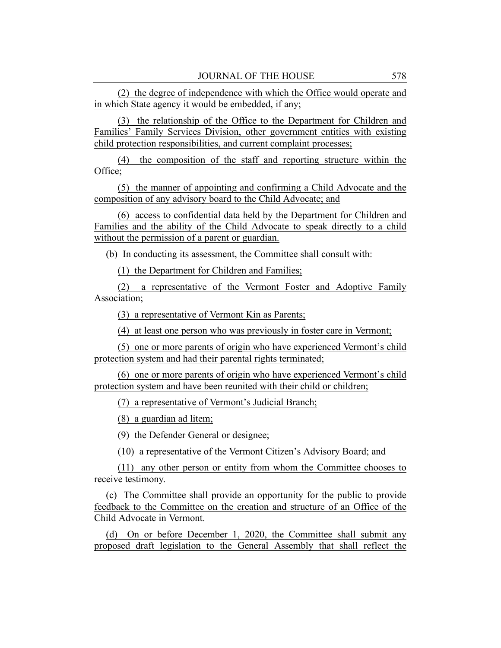(2) the degree of independence with which the Office would operate and in which State agency it would be embedded, if any;

(3) the relationship of the Office to the Department for Children and Families' Family Services Division, other government entities with existing child protection responsibilities, and current complaint processes;

(4) the composition of the staff and reporting structure within the Office;

(5) the manner of appointing and confirming a Child Advocate and the composition of any advisory board to the Child Advocate; and

(6) access to confidential data held by the Department for Children and Families and the ability of the Child Advocate to speak directly to a child without the permission of a parent or guardian.

(b) In conducting its assessment, the Committee shall consult with:

(1) the Department for Children and Families;

(2) a representative of the Vermont Foster and Adoptive Family Association;

(3) a representative of Vermont Kin as Parents;

(4) at least one person who was previously in foster care in Vermont;

(5) one or more parents of origin who have experienced Vermont's child protection system and had their parental rights terminated;

(6) one or more parents of origin who have experienced Vermont's child protection system and have been reunited with their child or children;

(7) a representative of Vermont's Judicial Branch;

(8) a guardian ad litem;

(9) the Defender General or designee;

(10) a representative of the Vermont Citizen's Advisory Board; and

(11) any other person or entity from whom the Committee chooses to receive testimony.

(c) The Committee shall provide an opportunity for the public to provide feedback to the Committee on the creation and structure of an Office of the Child Advocate in Vermont.

(d) On or before December 1, 2020, the Committee shall submit any proposed draft legislation to the General Assembly that shall reflect the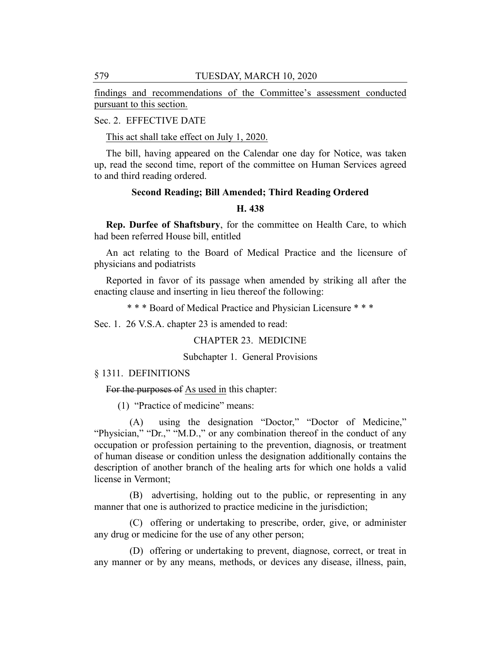findings and recommendations of the Committee's assessment conducted pursuant to this section.

# Sec. 2. EFFECTIVE DATE

This act shall take effect on July 1, 2020.

The bill, having appeared on the Calendar one day for Notice, was taken up, read the second time, report of the committee on Human Services agreed to and third reading ordered.

# **Second Reading; Bill Amended; Third Reading Ordered H. 438**

**Rep. Durfee of Shaftsbury**, for the committee on Health Care, to which had been referred House bill, entitled

An act relating to the Board of Medical Practice and the licensure of physicians and podiatrists

Reported in favor of its passage when amended by striking all after the enacting clause and inserting in lieu thereof the following:

\* \* \* Board of Medical Practice and Physician Licensure \* \* \*

Sec. 1. 26 V.S.A. chapter 23 is amended to read:

CHAPTER 23. MEDICINE

Subchapter 1. General Provisions

# § 1311. DEFINITIONS

For the purposes of As used in this chapter:

(1) "Practice of medicine" means:

(A) using the designation "Doctor," "Doctor of Medicine," "Physician," "Dr.," "M.D.," or any combination thereof in the conduct of any occupation or profession pertaining to the prevention, diagnosis, or treatment of human disease or condition unless the designation additionally contains the description of another branch of the healing arts for which one holds a valid license in Vermont;

(B) advertising, holding out to the public, or representing in any manner that one is authorized to practice medicine in the jurisdiction;

(C) offering or undertaking to prescribe, order, give, or administer any drug or medicine for the use of any other person;

(D) offering or undertaking to prevent, diagnose, correct, or treat in any manner or by any means, methods, or devices any disease, illness, pain,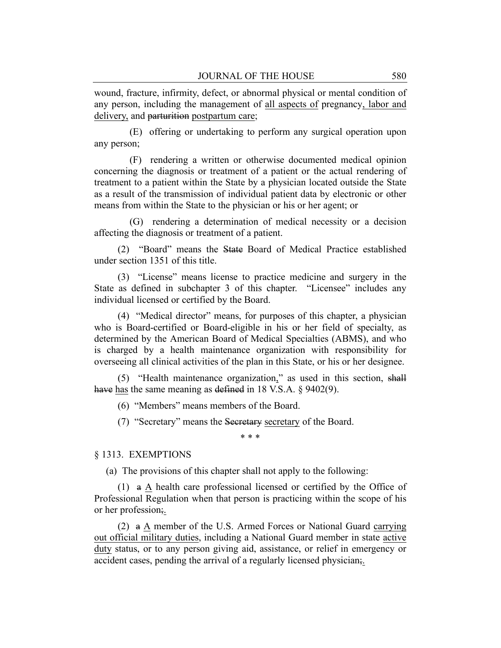wound, fracture, infirmity, defect, or abnormal physical or mental condition of any person, including the management of all aspects of pregnancy, labor and delivery, and parturition postpartum care;

(E) offering or undertaking to perform any surgical operation upon any person;

(F) rendering a written or otherwise documented medical opinion concerning the diagnosis or treatment of a patient or the actual rendering of treatment to a patient within the State by a physician located outside the State as a result of the transmission of individual patient data by electronic or other means from within the State to the physician or his or her agent; or

(G) rendering a determination of medical necessity or a decision affecting the diagnosis or treatment of a patient.

(2) "Board" means the State Board of Medical Practice established under section 1351 of this title.

(3) "License" means license to practice medicine and surgery in the State as defined in subchapter 3 of this chapter. "Licensee" includes any individual licensed or certified by the Board.

(4) "Medical director" means, for purposes of this chapter, a physician who is Board-certified or Board-eligible in his or her field of specialty, as determined by the American Board of Medical Specialties (ABMS), and who is charged by a health maintenance organization with responsibility for overseeing all clinical activities of the plan in this State, or his or her designee.

(5) "Health maintenance organization," as used in this section, shall have has the same meaning as defined in 18 V.S.A. § 9402(9).

(6) "Members" means members of the Board.

(7) "Secretary" means the Secretary secretary of the Board.

\* \* \*

# § 1313. EXEMPTIONS

(a) The provisions of this chapter shall not apply to the following:

(1) a A health care professional licensed or certified by the Office of Professional Regulation when that person is practicing within the scope of his or her profession;.

(2) a A member of the U.S. Armed Forces or National Guard carrying out official military duties, including a National Guard member in state active duty status, or to any person giving aid, assistance, or relief in emergency or accident cases, pending the arrival of a regularly licensed physician;.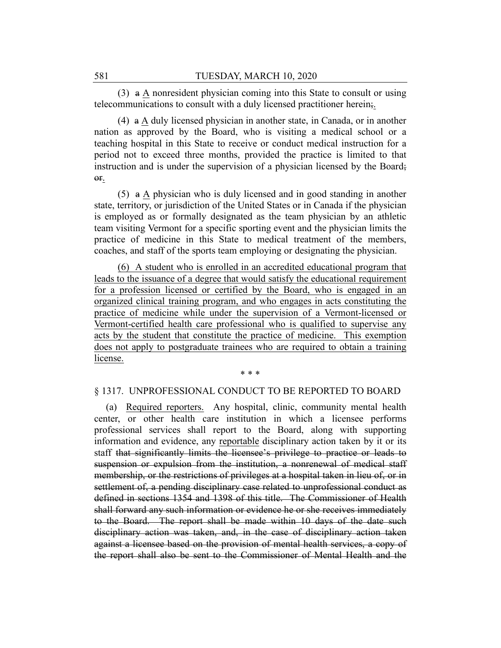(3) a A nonresident physician coming into this State to consult or using telecommunications to consult with a duly licensed practitioner herein;.

(4) a A duly licensed physician in another state, in Canada, or in another nation as approved by the Board, who is visiting a medical school or a teaching hospital in this State to receive or conduct medical instruction for a period not to exceed three months, provided the practice is limited to that instruction and is under the supervision of a physician licensed by the Board; or.

(5) a A physician who is duly licensed and in good standing in another state, territory, or jurisdiction of the United States or in Canada if the physician is employed as or formally designated as the team physician by an athletic team visiting Vermont for a specific sporting event and the physician limits the practice of medicine in this State to medical treatment of the members, coaches, and staff of the sports team employing or designating the physician.

(6) A student who is enrolled in an accredited educational program that leads to the issuance of a degree that would satisfy the educational requirement for a profession licensed or certified by the Board, who is engaged in an organized clinical training program, and who engages in acts constituting the practice of medicine while under the supervision of a Vermont-licensed or Vermont-certified health care professional who is qualified to supervise any acts by the student that constitute the practice of medicine. This exemption does not apply to postgraduate trainees who are required to obtain a training license.

#### \* \* \*

#### § 1317. UNPROFESSIONAL CONDUCT TO BE REPORTED TO BOARD

(a) Required reporters. Any hospital, clinic, community mental health center, or other health care institution in which a licensee performs professional services shall report to the Board, along with supporting information and evidence, any reportable disciplinary action taken by it or its staff that significantly limits the licensee's privilege to practice or leads to suspension or expulsion from the institution, a nonrenewal of medical staff membership, or the restrictions of privileges at a hospital taken in lieu of, or in settlement of, a pending disciplinary case related to unprofessional conduct as defined in sections 1354 and 1398 of this title. The Commissioner of Health shall forward any such information or evidence he or she receives immediately to the Board. The report shall be made within 10 days of the date such disciplinary action was taken, and, in the case of disciplinary action taken against a licensee based on the provision of mental health services, a copy of the report shall also be sent to the Commissioner of Mental Health and the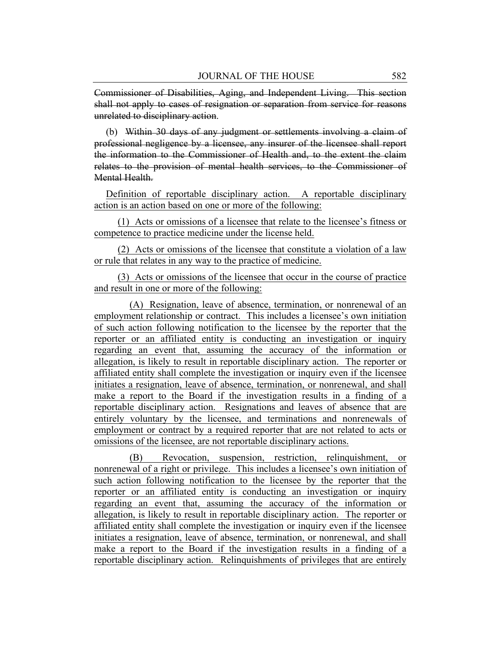Commissioner of Disabilities, Aging, and Independent Living. This section shall not apply to cases of resignation or separation from service for reasons unrelated to disciplinary action.

(b) Within 30 days of any judgment or settlements involving a claim of professional negligence by a licensee, any insurer of the licensee shall report the information to the Commissioner of Health and, to the extent the claim relates to the provision of mental health services, to the Commissioner of Mental Health.

Definition of reportable disciplinary action. A reportable disciplinary action is an action based on one or more of the following:

(1) Acts or omissions of a licensee that relate to the licensee's fitness or competence to practice medicine under the license held.

(2) Acts or omissions of the licensee that constitute a violation of a law or rule that relates in any way to the practice of medicine.

(3) Acts or omissions of the licensee that occur in the course of practice and result in one or more of the following:

(A) Resignation, leave of absence, termination, or nonrenewal of an employment relationship or contract. This includes a licensee's own initiation of such action following notification to the licensee by the reporter that the reporter or an affiliated entity is conducting an investigation or inquiry regarding an event that, assuming the accuracy of the information or allegation, is likely to result in reportable disciplinary action. The reporter or affiliated entity shall complete the investigation or inquiry even if the licensee initiates a resignation, leave of absence, termination, or nonrenewal, and shall make a report to the Board if the investigation results in a finding of a reportable disciplinary action. Resignations and leaves of absence that are entirely voluntary by the licensee, and terminations and nonrenewals of employment or contract by a required reporter that are not related to acts or omissions of the licensee, are not reportable disciplinary actions.

(B) Revocation, suspension, restriction, relinquishment, or nonrenewal of a right or privilege. This includes a licensee's own initiation of such action following notification to the licensee by the reporter that the reporter or an affiliated entity is conducting an investigation or inquiry regarding an event that, assuming the accuracy of the information or allegation, is likely to result in reportable disciplinary action. The reporter or affiliated entity shall complete the investigation or inquiry even if the licensee initiates a resignation, leave of absence, termination, or nonrenewal, and shall make a report to the Board if the investigation results in a finding of a reportable disciplinary action. Relinquishments of privileges that are entirely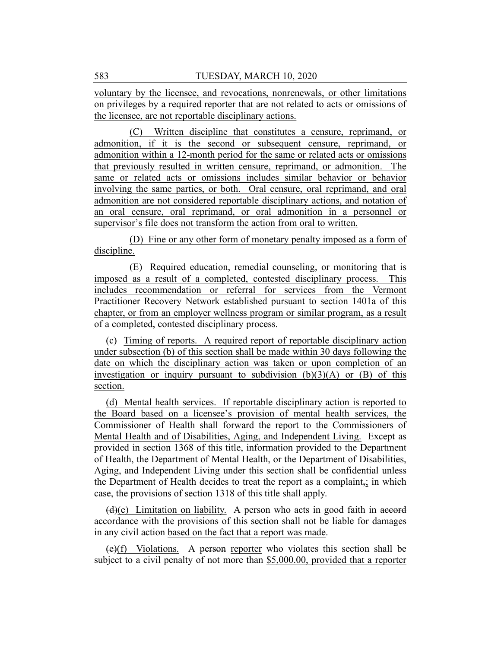voluntary by the licensee, and revocations, nonrenewals, or other limitations on privileges by a required reporter that are not related to acts or omissions of the licensee, are not reportable disciplinary actions.

(C) Written discipline that constitutes a censure, reprimand, or admonition, if it is the second or subsequent censure, reprimand, or admonition within a 12-month period for the same or related acts or omissions that previously resulted in written censure, reprimand, or admonition. The same or related acts or omissions includes similar behavior or behavior involving the same parties, or both. Oral censure, oral reprimand, and oral admonition are not considered reportable disciplinary actions, and notation of an oral censure, oral reprimand, or oral admonition in a personnel or supervisor's file does not transform the action from oral to written.

(D) Fine or any other form of monetary penalty imposed as a form of discipline.

(E) Required education, remedial counseling, or monitoring that is imposed as a result of a completed, contested disciplinary process. This includes recommendation or referral for services from the Vermont Practitioner Recovery Network established pursuant to section 1401a of this chapter, or from an employer wellness program or similar program, as a result of a completed, contested disciplinary process.

(c) Timing of reports. A required report of reportable disciplinary action under subsection (b) of this section shall be made within 30 days following the date on which the disciplinary action was taken or upon completion of an investigation or inquiry pursuant to subdivision  $(b)(3)(A)$  or  $(B)$  of this section.

(d) Mental health services. If reportable disciplinary action is reported to the Board based on a licensee's provision of mental health services, the Commissioner of Health shall forward the report to the Commissioners of Mental Health and of Disabilities, Aging, and Independent Living. Except as provided in section 1368 of this title, information provided to the Department of Health, the Department of Mental Health, or the Department of Disabilities, Aging, and Independent Living under this section shall be confidential unless the Department of Health decides to treat the report as a complaint $\overline{x}$ ; in which case, the provisions of section 1318 of this title shall apply.

 $(d)(e)$  Limitation on liability. A person who acts in good faith in accord accordance with the provisions of this section shall not be liable for damages in any civil action based on the fact that a report was made.

 $(e)(f)$  Violations. A person reporter who violates this section shall be subject to a civil penalty of not more than \$5,000.00, provided that a reporter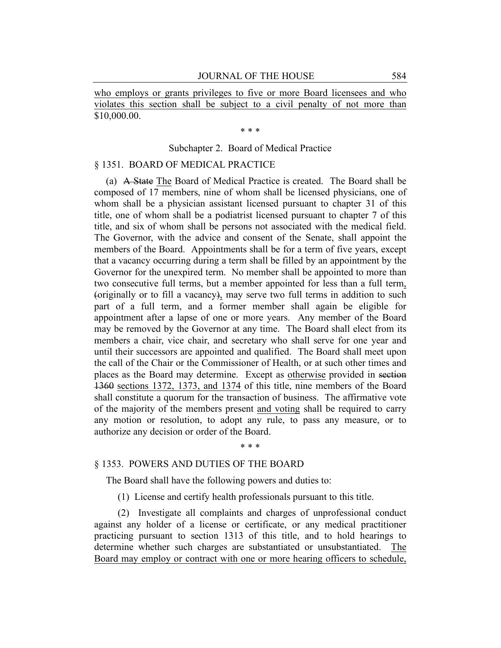who employs or grants privileges to five or more Board licensees and who violates this section shall be subject to a civil penalty of not more than \$10,000.00.

\* \* \*

# Subchapter 2. Board of Medical Practice

# § 1351. BOARD OF MEDICAL PRACTICE

(a) A State The Board of Medical Practice is created. The Board shall be composed of 17 members, nine of whom shall be licensed physicians, one of whom shall be a physician assistant licensed pursuant to chapter 31 of this title, one of whom shall be a podiatrist licensed pursuant to chapter 7 of this title, and six of whom shall be persons not associated with the medical field. The Governor, with the advice and consent of the Senate, shall appoint the members of the Board. Appointments shall be for a term of five years, except that a vacancy occurring during a term shall be filled by an appointment by the Governor for the unexpired term. No member shall be appointed to more than two consecutive full terms, but a member appointed for less than a full term, (originally or to fill a vacancy), may serve two full terms in addition to such part of a full term, and a former member shall again be eligible for appointment after a lapse of one or more years. Any member of the Board may be removed by the Governor at any time. The Board shall elect from its members a chair, vice chair, and secretary who shall serve for one year and until their successors are appointed and qualified. The Board shall meet upon the call of the Chair or the Commissioner of Health, or at such other times and places as the Board may determine. Except as otherwise provided in section 1360 sections 1372, 1373, and 1374 of this title, nine members of the Board shall constitute a quorum for the transaction of business. The affirmative vote of the majority of the members present and voting shall be required to carry any motion or resolution, to adopt any rule, to pass any measure, or to authorize any decision or order of the Board.

#### \* \* \*

#### § 1353. POWERS AND DUTIES OF THE BOARD

The Board shall have the following powers and duties to:

(1) License and certify health professionals pursuant to this title.

(2) Investigate all complaints and charges of unprofessional conduct against any holder of a license or certificate, or any medical practitioner practicing pursuant to section 1313 of this title, and to hold hearings to determine whether such charges are substantiated or unsubstantiated. The Board may employ or contract with one or more hearing officers to schedule,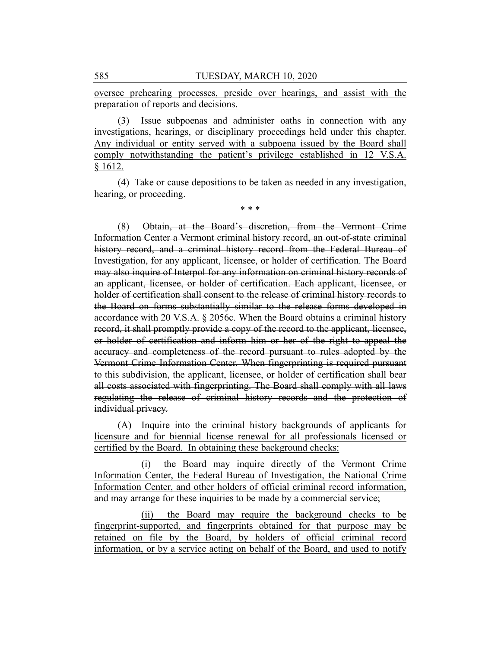oversee prehearing processes, preside over hearings, and assist with the preparation of reports and decisions.

(3) Issue subpoenas and administer oaths in connection with any investigations, hearings, or disciplinary proceedings held under this chapter. Any individual or entity served with a subpoena issued by the Board shall comply notwithstanding the patient's privilege established in 12 V.S.A. § 1612.

(4) Take or cause depositions to be taken as needed in any investigation, hearing, or proceeding.

\* \* \*

(8) Obtain, at the Board's discretion, from the Vermont Crime Information Center a Vermont criminal history record, an out-of-state criminal history record, and a criminal history record from the Federal Bureau of Investigation, for any applicant, licensee, or holder of certification. The Board may also inquire of Interpol for any information on criminal history records of an applicant, licensee, or holder of certification. Each applicant, licensee, or holder of certification shall consent to the release of criminal history records to the Board on forms substantially similar to the release forms developed in accordance with 20 V.S.A. § 2056c. When the Board obtains a criminal history record, it shall promptly provide a copy of the record to the applicant, licensee, or holder of certification and inform him or her of the right to appeal the accuracy and completeness of the record pursuant to rules adopted by the Vermont Crime Information Center. When fingerprinting is required pursuant to this subdivision, the applicant, licensee, or holder of certification shall bear all costs associated with fingerprinting. The Board shall comply with all laws regulating the release of criminal history records and the protection of individual privacy.

(A) Inquire into the criminal history backgrounds of applicants for licensure and for biennial license renewal for all professionals licensed or certified by the Board. In obtaining these background checks:

(i) the Board may inquire directly of the Vermont Crime Information Center, the Federal Bureau of Investigation, the National Crime Information Center, and other holders of official criminal record information, and may arrange for these inquiries to be made by a commercial service;

(ii) the Board may require the background checks to be fingerprint-supported, and fingerprints obtained for that purpose may be retained on file by the Board, by holders of official criminal record information, or by a service acting on behalf of the Board, and used to notify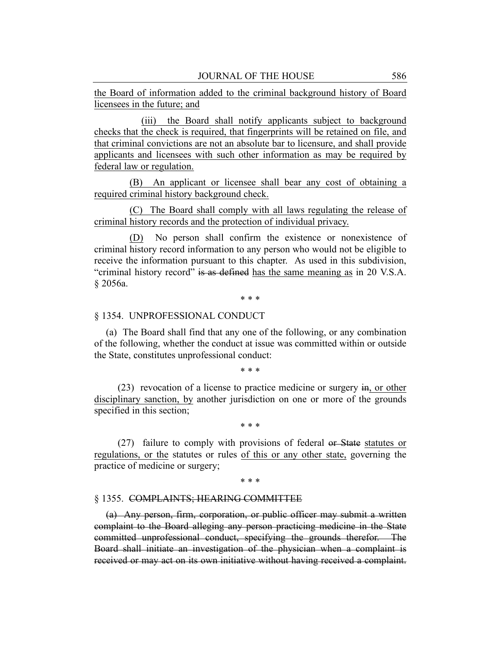the Board of information added to the criminal background history of Board licensees in the future; and

(iii) the Board shall notify applicants subject to background checks that the check is required, that fingerprints will be retained on file, and that criminal convictions are not an absolute bar to licensure, and shall provide applicants and licensees with such other information as may be required by federal law or regulation.

(B) An applicant or licensee shall bear any cost of obtaining a required criminal history background check.

(C) The Board shall comply with all laws regulating the release of criminal history records and the protection of individual privacy.

(D) No person shall confirm the existence or nonexistence of criminal history record information to any person who would not be eligible to receive the information pursuant to this chapter. As used in this subdivision, "criminal history record" is as defined has the same meaning as in 20 V.S.A. § 2056a.

\* \* \*

## § 1354. UNPROFESSIONAL CONDUCT

(a) The Board shall find that any one of the following, or any combination of the following, whether the conduct at issue was committed within or outside the State, constitutes unprofessional conduct:

\* \* \*

(23) revocation of a license to practice medicine or surgery in, or other disciplinary sanction, by another jurisdiction on one or more of the grounds specified in this section;

\* \* \*

(27) failure to comply with provisions of federal or State statutes or regulations, or the statutes or rules of this or any other state, governing the practice of medicine or surgery;

\* \* \*

#### § 1355. COMPLAINTS; HEARING COMMITTEE

(a) Any person, firm, corporation, or public officer may submit a written complaint to the Board alleging any person practicing medicine in the State committed unprofessional conduct, specifying the grounds therefor. The Board shall initiate an investigation of the physician when a complaint is received or may act on its own initiative without having received a complaint.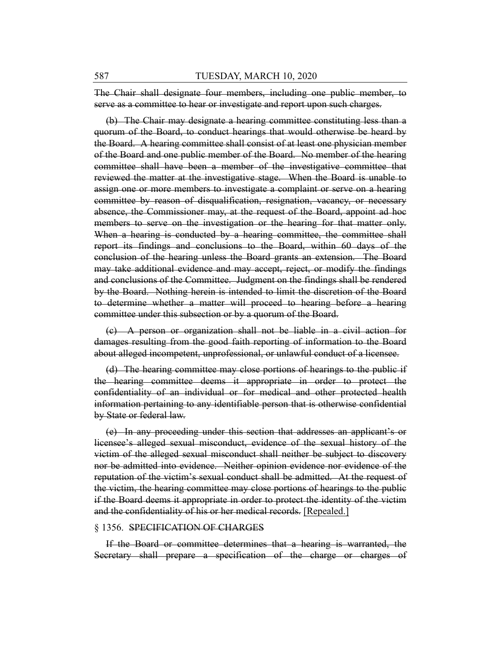The Chair shall designate four members, including one public member, to serve as a committee to hear or investigate and report upon such charges.

(b) The Chair may designate a hearing committee constituting less than a quorum of the Board, to conduct hearings that would otherwise be heard by the Board. A hearing committee shall consist of at least one physician member of the Board and one public member of the Board. No member of the hearing committee shall have been a member of the investigative committee that reviewed the matter at the investigative stage. When the Board is unable to assign one or more members to investigate a complaint or serve on a hearing committee by reason of disqualification, resignation, vacancy, or necessary absence, the Commissioner may, at the request of the Board, appoint ad hoc members to serve on the investigation or the hearing for that matter only. When a hearing is conducted by a hearing committee, the committee shall report its findings and conclusions to the Board, within 60 days of the conclusion of the hearing unless the Board grants an extension. The Board may take additional evidence and may accept, reject, or modify the findings and conclusions of the Committee. Judgment on the findings shall be rendered by the Board. Nothing herein is intended to limit the discretion of the Board to determine whether a matter will proceed to hearing before a hearing committee under this subsection or by a quorum of the Board.

(c) A person or organization shall not be liable in a civil action for damages resulting from the good faith reporting of information to the Board about alleged incompetent, unprofessional, or unlawful conduct of a licensee.

(d) The hearing committee may close portions of hearings to the public if the hearing committee deems it appropriate in order to protect the confidentiality of an individual or for medical and other protected health information pertaining to any identifiable person that is otherwise confidential by State or federal law.

(e) In any proceeding under this section that addresses an applicant's or licensee's alleged sexual misconduct, evidence of the sexual history of the victim of the alleged sexual misconduct shall neither be subject to discovery nor be admitted into evidence. Neither opinion evidence nor evidence of the reputation of the victim's sexual conduct shall be admitted. At the request of the victim, the hearing committee may close portions of hearings to the public if the Board deems it appropriate in order to protect the identity of the victim and the confidentiality of his or her medical records. [Repealed.]

#### § 1356. SPECIFICATION OF CHARGES

If the Board or committee determines that a hearing is warranted, the Secretary shall prepare a specification of the charge or charges of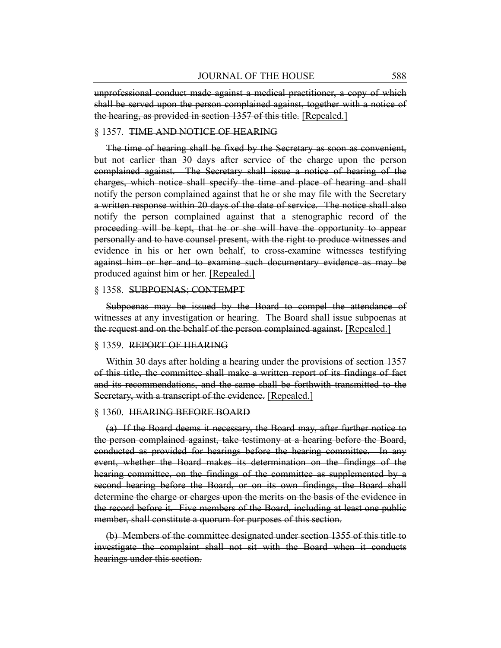unprofessional conduct made against a medical practitioner, a copy of which shall be served upon the person complained against, together with a notice of the hearing, as provided in section 1357 of this title. [Repealed.]

## § 1357. TIME AND NOTICE OF HEARING

The time of hearing shall be fixed by the Secretary as soon as convenient, but not earlier than 30 days after service of the charge upon the person complained against. The Secretary shall issue a notice of hearing of the charges, which notice shall specify the time and place of hearing and shall notify the person complained against that he or she may file with the Secretary a written response within 20 days of the date of service. The notice shall also notify the person complained against that a stenographic record of the proceeding will be kept, that he or she will have the opportunity to appear personally and to have counsel present, with the right to produce witnesses and evidence in his or her own behalf, to cross-examine witnesses testifying against him or her and to examine such documentary evidence as may be produced against him or her. [Repealed.]

#### § 1358. SUBPOENAS; CONTEMPT

Subpoenas may be issued by the Board to compel the attendance of witnesses at any investigation or hearing. The Board shall issue subpoenas at the request and on the behalf of the person complained against. [Repealed.]

#### § 1359. REPORT OF HEARING

Within 30 days after holding a hearing under the provisions of section 1357 of this title, the committee shall make a written report of its findings of fact and its recommendations, and the same shall be forthwith transmitted to the Secretary, with a transcript of the evidence. [Repealed.]

#### § 1360. HEARING BEFORE BOARD

(a) If the Board deems it necessary, the Board may, after further notice to the person complained against, take testimony at a hearing before the Board, conducted as provided for hearings before the hearing committee. In any event, whether the Board makes its determination on the findings of the hearing committee, on the findings of the committee as supplemented by a second hearing before the Board, or on its own findings, the Board shall determine the charge or charges upon the merits on the basis of the evidence in the record before it. Five members of the Board, including at least one public member, shall constitute a quorum for purposes of this section.

(b) Members of the committee designated under section 1355 of this title to investigate the complaint shall not sit with the Board when it conducts hearings under this section.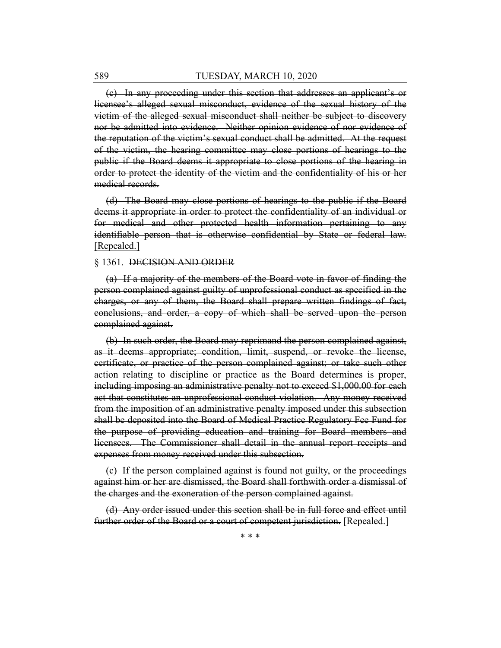(c) In any proceeding under this section that addresses an applicant's or licensee's alleged sexual misconduct, evidence of the sexual history of the victim of the alleged sexual misconduct shall neither be subject to discovery nor be admitted into evidence. Neither opinion evidence of nor evidence of the reputation of the victim's sexual conduct shall be admitted. At the request of the victim, the hearing committee may close portions of hearings to the public if the Board deems it appropriate to close portions of the hearing in order to protect the identity of the victim and the confidentiality of his or her medical records.

(d) The Board may close portions of hearings to the public if the Board deems it appropriate in order to protect the confidentiality of an individual or for medical and other protected health information pertaining to any identifiable person that is otherwise confidential by State or federal law. [Repealed.]

#### § 1361. DECISION AND ORDER

(a) If a majority of the members of the Board vote in favor of finding the person complained against guilty of unprofessional conduct as specified in the charges, or any of them, the Board shall prepare written findings of fact, conclusions, and order, a copy of which shall be served upon the person complained against.

(b) In such order, the Board may reprimand the person complained against, as it deems appropriate; condition, limit, suspend, or revoke the license, certificate, or practice of the person complained against; or take such other action relating to discipline or practice as the Board determines is proper, including imposing an administrative penalty not to exceed \$1,000.00 for each act that constitutes an unprofessional conduct violation. Any money received from the imposition of an administrative penalty imposed under this subsection shall be deposited into the Board of Medical Practice Regulatory Fee Fund for the purpose of providing education and training for Board members and licensees. The Commissioner shall detail in the annual report receipts and expenses from money received under this subsection.

(c) If the person complained against is found not guilty, or the proceedings against him or her are dismissed, the Board shall forthwith order a dismissal of the charges and the exoneration of the person complained against.

(d) Any order issued under this section shall be in full force and effect until further order of the Board or a court of competent jurisdiction. [Repealed.]

\* \* \*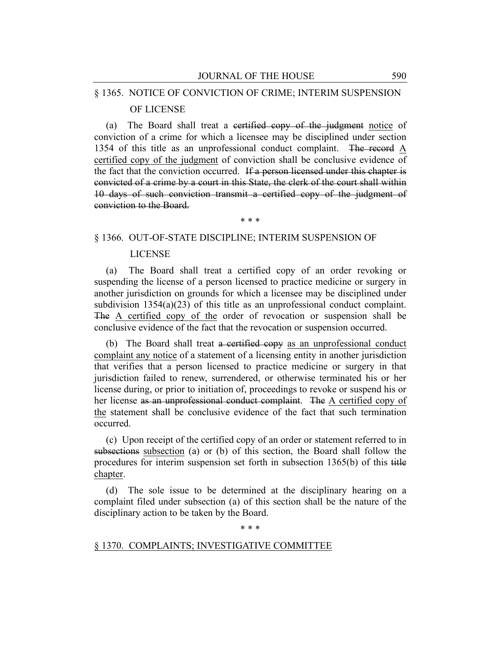# § 1365. NOTICE OF CONVICTION OF CRIME; INTERIM SUSPENSION OF LICENSE

(a) The Board shall treat a certified copy of the judgment notice of conviction of a crime for which a licensee may be disciplined under section 1354 of this title as an unprofessional conduct complaint. The record A certified copy of the judgment of conviction shall be conclusive evidence of the fact that the conviction occurred. If a person licensed under this chapter is convicted of a crime by a court in this State, the clerk of the court shall within 10 days of such conviction transmit a certified copy of the judgment of conviction to the Board.

\* \* \*

# § 1366. OUT-OF-STATE DISCIPLINE; INTERIM SUSPENSION OF

#### LICENSE

(a) The Board shall treat a certified copy of an order revoking or suspending the license of a person licensed to practice medicine or surgery in another jurisdiction on grounds for which a licensee may be disciplined under subdivision  $1354(a)(23)$  of this title as an unprofessional conduct complaint. The A certified copy of the order of revocation or suspension shall be conclusive evidence of the fact that the revocation or suspension occurred.

(b) The Board shall treat a certified copy as an unprofessional conduct complaint any notice of a statement of a licensing entity in another jurisdiction that verifies that a person licensed to practice medicine or surgery in that jurisdiction failed to renew, surrendered, or otherwise terminated his or her license during, or prior to initiation of, proceedings to revoke or suspend his or her license as an unprofessional conduct complaint. The A certified copy of the statement shall be conclusive evidence of the fact that such termination occurred.

(c) Upon receipt of the certified copy of an order or statement referred to in subsections subsection (a) or (b) of this section, the Board shall follow the procedures for interim suspension set forth in subsection 1365(b) of this title chapter.

(d) The sole issue to be determined at the disciplinary hearing on a complaint filed under subsection (a) of this section shall be the nature of the disciplinary action to be taken by the Board.

\* \* \*

# § 1370. COMPLAINTS; INVESTIGATIVE COMMITTEE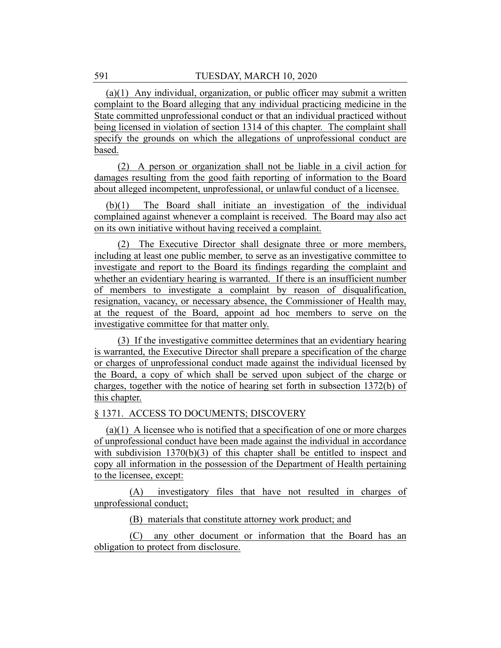(a)(1) Any individual, organization, or public officer may submit a written complaint to the Board alleging that any individual practicing medicine in the State committed unprofessional conduct or that an individual practiced without being licensed in violation of section 1314 of this chapter. The complaint shall specify the grounds on which the allegations of unprofessional conduct are based.

(2) A person or organization shall not be liable in a civil action for damages resulting from the good faith reporting of information to the Board about alleged incompetent, unprofessional, or unlawful conduct of a licensee.

(b)(1) The Board shall initiate an investigation of the individual complained against whenever a complaint is received. The Board may also act on its own initiative without having received a complaint.

(2) The Executive Director shall designate three or more members, including at least one public member, to serve as an investigative committee to investigate and report to the Board its findings regarding the complaint and whether an evidentiary hearing is warranted. If there is an insufficient number of members to investigate a complaint by reason of disqualification, resignation, vacancy, or necessary absence, the Commissioner of Health may, at the request of the Board, appoint ad hoc members to serve on the investigative committee for that matter only.

(3) If the investigative committee determines that an evidentiary hearing is warranted, the Executive Director shall prepare a specification of the charge or charges of unprofessional conduct made against the individual licensed by the Board, a copy of which shall be served upon subject of the charge or charges, together with the notice of hearing set forth in subsection 1372(b) of this chapter.

# § 1371. ACCESS TO DOCUMENTS; DISCOVERY

(a)(1) A licensee who is notified that a specification of one or more charges of unprofessional conduct have been made against the individual in accordance with subdivision  $1370(b)(3)$  of this chapter shall be entitled to inspect and copy all information in the possession of the Department of Health pertaining to the licensee, except:

(A) investigatory files that have not resulted in charges of unprofessional conduct;

(B) materials that constitute attorney work product; and

(C) any other document or information that the Board has an obligation to protect from disclosure.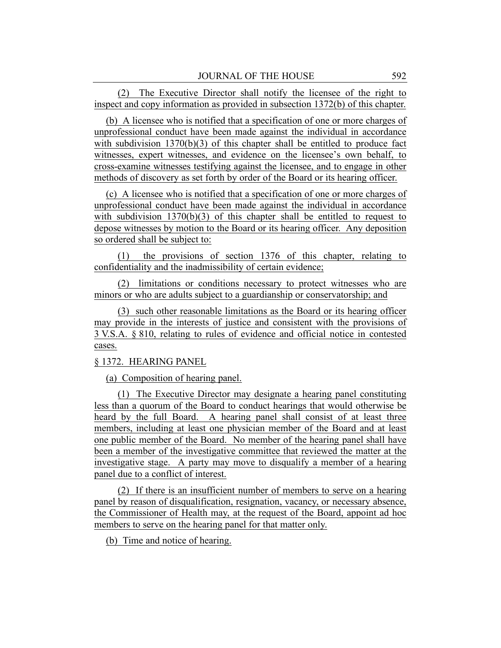(2) The Executive Director shall notify the licensee of the right to inspect and copy information as provided in subsection 1372(b) of this chapter.

(b) A licensee who is notified that a specification of one or more charges of unprofessional conduct have been made against the individual in accordance with subdivision  $1370(b)(3)$  of this chapter shall be entitled to produce fact witnesses, expert witnesses, and evidence on the licensee's own behalf, to cross-examine witnesses testifying against the licensee, and to engage in other methods of discovery as set forth by order of the Board or its hearing officer.

(c) A licensee who is notified that a specification of one or more charges of unprofessional conduct have been made against the individual in accordance with subdivision  $1370(b)(3)$  of this chapter shall be entitled to request to depose witnesses by motion to the Board or its hearing officer. Any deposition so ordered shall be subject to:

(1) the provisions of section 1376 of this chapter, relating to confidentiality and the inadmissibility of certain evidence;

(2) limitations or conditions necessary to protect witnesses who are minors or who are adults subject to a guardianship or conservatorship; and

(3) such other reasonable limitations as the Board or its hearing officer may provide in the interests of justice and consistent with the provisions of 3 V.S.A. § 810, relating to rules of evidence and official notice in contested cases.

# § 1372. HEARING PANEL

(a) Composition of hearing panel.

(1) The Executive Director may designate a hearing panel constituting less than a quorum of the Board to conduct hearings that would otherwise be heard by the full Board. A hearing panel shall consist of at least three members, including at least one physician member of the Board and at least one public member of the Board. No member of the hearing panel shall have been a member of the investigative committee that reviewed the matter at the investigative stage. A party may move to disqualify a member of a hearing panel due to a conflict of interest.

(2) If there is an insufficient number of members to serve on a hearing panel by reason of disqualification, resignation, vacancy, or necessary absence, the Commissioner of Health may, at the request of the Board, appoint ad hoc members to serve on the hearing panel for that matter only.

(b) Time and notice of hearing.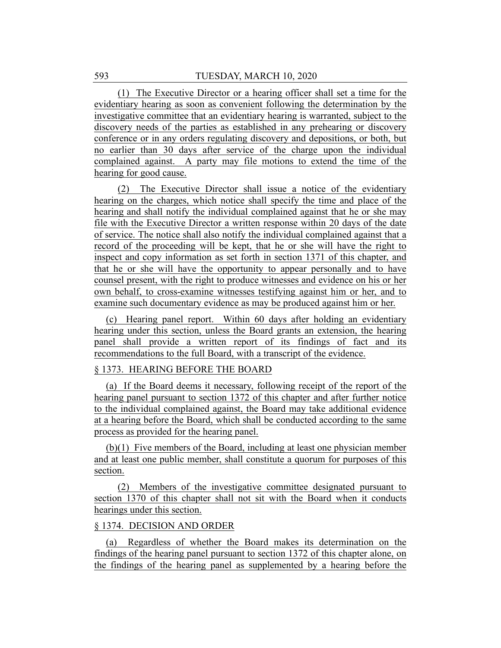(1) The Executive Director or a hearing officer shall set a time for the evidentiary hearing as soon as convenient following the determination by the investigative committee that an evidentiary hearing is warranted, subject to the discovery needs of the parties as established in any prehearing or discovery conference or in any orders regulating discovery and depositions, or both, but no earlier than 30 days after service of the charge upon the individual complained against. A party may file motions to extend the time of the hearing for good cause.

(2) The Executive Director shall issue a notice of the evidentiary hearing on the charges, which notice shall specify the time and place of the hearing and shall notify the individual complained against that he or she may file with the Executive Director a written response within 20 days of the date of service. The notice shall also notify the individual complained against that a record of the proceeding will be kept, that he or she will have the right to inspect and copy information as set forth in section 1371 of this chapter, and that he or she will have the opportunity to appear personally and to have counsel present, with the right to produce witnesses and evidence on his or her own behalf, to cross-examine witnesses testifying against him or her, and to examine such documentary evidence as may be produced against him or her.

(c) Hearing panel report. Within 60 days after holding an evidentiary hearing under this section, unless the Board grants an extension, the hearing panel shall provide a written report of its findings of fact and its recommendations to the full Board, with a transcript of the evidence.

# § 1373. HEARING BEFORE THE BOARD

(a) If the Board deems it necessary, following receipt of the report of the hearing panel pursuant to section 1372 of this chapter and after further notice to the individual complained against, the Board may take additional evidence at a hearing before the Board, which shall be conducted according to the same process as provided for the hearing panel.

(b)(1) Five members of the Board, including at least one physician member and at least one public member, shall constitute a quorum for purposes of this section.

(2) Members of the investigative committee designated pursuant to section 1370 of this chapter shall not sit with the Board when it conducts hearings under this section.

# § 1374. DECISION AND ORDER

(a) Regardless of whether the Board makes its determination on the findings of the hearing panel pursuant to section 1372 of this chapter alone, on the findings of the hearing panel as supplemented by a hearing before the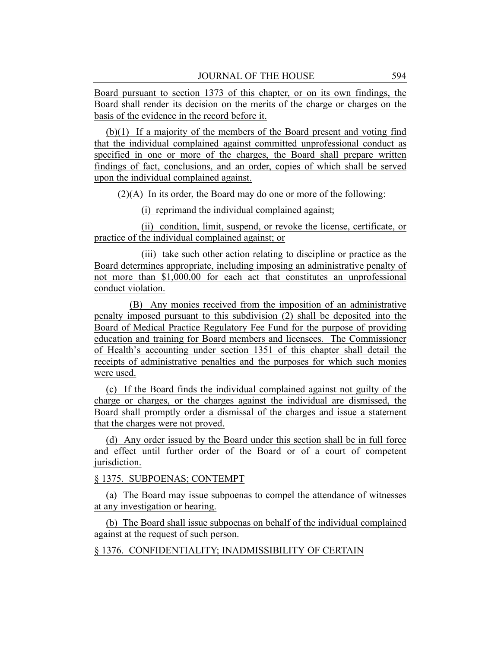Board pursuant to section 1373 of this chapter, or on its own findings, the Board shall render its decision on the merits of the charge or charges on the basis of the evidence in the record before it.

(b)(1) If a majority of the members of the Board present and voting find that the individual complained against committed unprofessional conduct as specified in one or more of the charges, the Board shall prepare written findings of fact, conclusions, and an order, copies of which shall be served upon the individual complained against.

 $(2)(A)$  In its order, the Board may do one or more of the following:

(i) reprimand the individual complained against;

(ii) condition, limit, suspend, or revoke the license, certificate, or practice of the individual complained against; or

(iii) take such other action relating to discipline or practice as the Board determines appropriate, including imposing an administrative penalty of not more than \$1,000.00 for each act that constitutes an unprofessional conduct violation.

(B) Any monies received from the imposition of an administrative penalty imposed pursuant to this subdivision (2) shall be deposited into the Board of Medical Practice Regulatory Fee Fund for the purpose of providing education and training for Board members and licensees. The Commissioner of Health's accounting under section 1351 of this chapter shall detail the receipts of administrative penalties and the purposes for which such monies were used.

(c) If the Board finds the individual complained against not guilty of the charge or charges, or the charges against the individual are dismissed, the Board shall promptly order a dismissal of the charges and issue a statement that the charges were not proved.

(d) Any order issued by the Board under this section shall be in full force and effect until further order of the Board or of a court of competent jurisdiction.

§ 1375. SUBPOENAS; CONTEMPT

(a) The Board may issue subpoenas to compel the attendance of witnesses at any investigation or hearing.

(b) The Board shall issue subpoenas on behalf of the individual complained against at the request of such person.

§ 1376. CONFIDENTIALITY; INADMISSIBILITY OF CERTAIN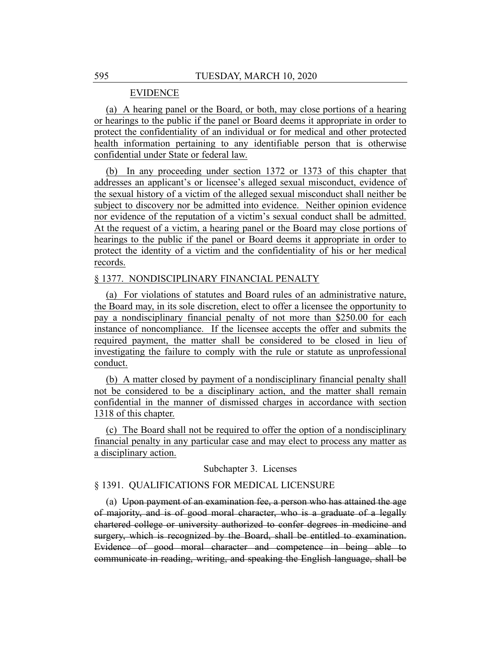# EVIDENCE

(a) A hearing panel or the Board, or both, may close portions of a hearing or hearings to the public if the panel or Board deems it appropriate in order to protect the confidentiality of an individual or for medical and other protected health information pertaining to any identifiable person that is otherwise confidential under State or federal law.

(b) In any proceeding under section 1372 or 1373 of this chapter that addresses an applicant's or licensee's alleged sexual misconduct, evidence of the sexual history of a victim of the alleged sexual misconduct shall neither be subject to discovery nor be admitted into evidence. Neither opinion evidence nor evidence of the reputation of a victim's sexual conduct shall be admitted. At the request of a victim, a hearing panel or the Board may close portions of hearings to the public if the panel or Board deems it appropriate in order to protect the identity of a victim and the confidentiality of his or her medical records.

# § 1377. NONDISCIPLINARY FINANCIAL PENALTY

(a) For violations of statutes and Board rules of an administrative nature, the Board may, in its sole discretion, elect to offer a licensee the opportunity to pay a nondisciplinary financial penalty of not more than \$250.00 for each instance of noncompliance. If the licensee accepts the offer and submits the required payment, the matter shall be considered to be closed in lieu of investigating the failure to comply with the rule or statute as unprofessional conduct.

(b) A matter closed by payment of a nondisciplinary financial penalty shall not be considered to be a disciplinary action, and the matter shall remain confidential in the manner of dismissed charges in accordance with section 1318 of this chapter.

(c) The Board shall not be required to offer the option of a nondisciplinary financial penalty in any particular case and may elect to process any matter as a disciplinary action.

Subchapter 3. Licenses

# § 1391. QUALIFICATIONS FOR MEDICAL LICENSURE

(a) Upon payment of an examination fee, a person who has attained the age of majority, and is of good moral character, who is a graduate of a legally chartered college or university authorized to confer degrees in medicine and surgery, which is recognized by the Board, shall be entitled to examination. Evidence of good moral character and competence in being able to communicate in reading, writing, and speaking the English language, shall be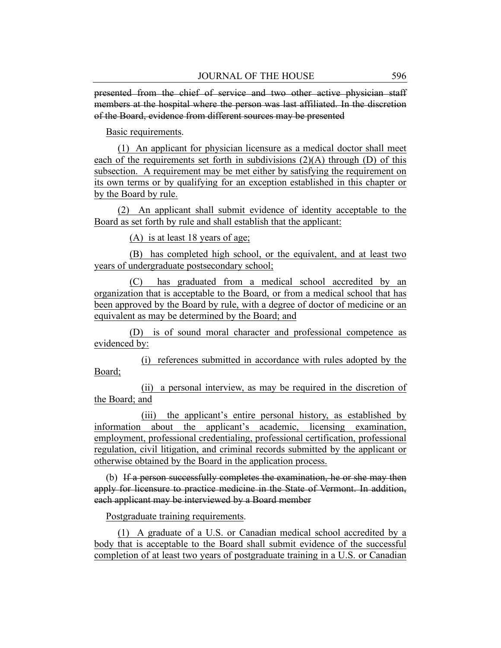presented from the chief of service and two other active physician staff members at the hospital where the person was last affiliated. In the discretion of the Board, evidence from different sources may be presented

Basic requirements.

(1) An applicant for physician licensure as a medical doctor shall meet each of the requirements set forth in subdivisions (2)(A) through (D) of this subsection. A requirement may be met either by satisfying the requirement on its own terms or by qualifying for an exception established in this chapter or by the Board by rule.

(2) An applicant shall submit evidence of identity acceptable to the Board as set forth by rule and shall establish that the applicant:

(A) is at least 18 years of age;

(B) has completed high school, or the equivalent, and at least two years of undergraduate postsecondary school;

(C) has graduated from a medical school accredited by an organization that is acceptable to the Board, or from a medical school that has been approved by the Board by rule, with a degree of doctor of medicine or an equivalent as may be determined by the Board; and

(D) is of sound moral character and professional competence as evidenced by:

(i) references submitted in accordance with rules adopted by the Board;

(ii) a personal interview, as may be required in the discretion of the Board; and

(iii) the applicant's entire personal history, as established by information about the applicant's academic, licensing examination, employment, professional credentialing, professional certification, professional regulation, civil litigation, and criminal records submitted by the applicant or otherwise obtained by the Board in the application process.

(b) If a person successfully completes the examination, he or she may then apply for licensure to practice medicine in the State of Vermont. In addition, each applicant may be interviewed by a Board member

Postgraduate training requirements.

(1) A graduate of a U.S. or Canadian medical school accredited by a body that is acceptable to the Board shall submit evidence of the successful completion of at least two years of postgraduate training in a U.S. or Canadian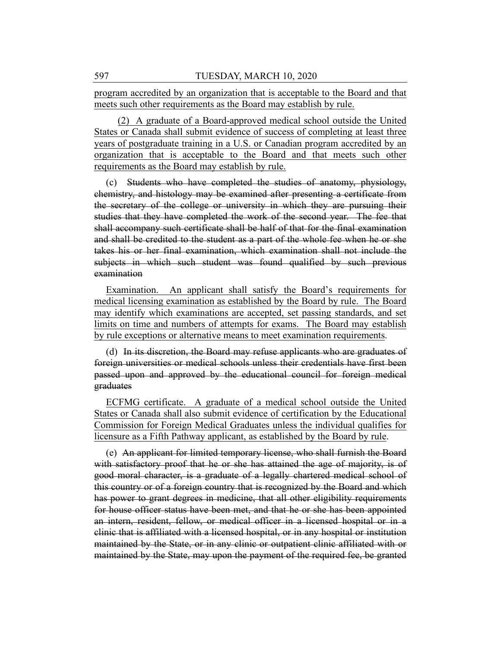program accredited by an organization that is acceptable to the Board and that meets such other requirements as the Board may establish by rule.

(2) A graduate of a Board-approved medical school outside the United States or Canada shall submit evidence of success of completing at least three years of postgraduate training in a U.S. or Canadian program accredited by an organization that is acceptable to the Board and that meets such other requirements as the Board may establish by rule.

(c) Students who have completed the studies of anatomy, physiology, chemistry, and histology may be examined after presenting a certificate from the secretary of the college or university in which they are pursuing their studies that they have completed the work of the second year. The fee that shall accompany such certificate shall be half of that for the final examination and shall be credited to the student as a part of the whole fee when he or she takes his or her final examination, which examination shall not include the subjects in which such student was found qualified by such previous examination

Examination. An applicant shall satisfy the Board's requirements for medical licensing examination as established by the Board by rule. The Board may identify which examinations are accepted, set passing standards, and set limits on time and numbers of attempts for exams. The Board may establish by rule exceptions or alternative means to meet examination requirements.

(d) In its discretion, the Board may refuse applicants who are graduates of foreign universities or medical schools unless their credentials have first been passed upon and approved by the educational council for foreign medical graduates

ECFMG certificate. A graduate of a medical school outside the United States or Canada shall also submit evidence of certification by the Educational Commission for Foreign Medical Graduates unless the individual qualifies for licensure as a Fifth Pathway applicant, as established by the Board by rule.

(e) An applicant for limited temporary license, who shall furnish the Board with satisfactory proof that he or she has attained the age of majority, is of good moral character, is a graduate of a legally chartered medical school of this country or of a foreign country that is recognized by the Board and which has power to grant degrees in medicine, that all other eligibility requirements for house officer status have been met, and that he or she has been appointed an intern, resident, fellow, or medical officer in a licensed hospital or in a clinic that is affiliated with a licensed hospital, or in any hospital or institution maintained by the State, or in any clinic or outpatient clinic affiliated with or maintained by the State, may upon the payment of the required fee, be granted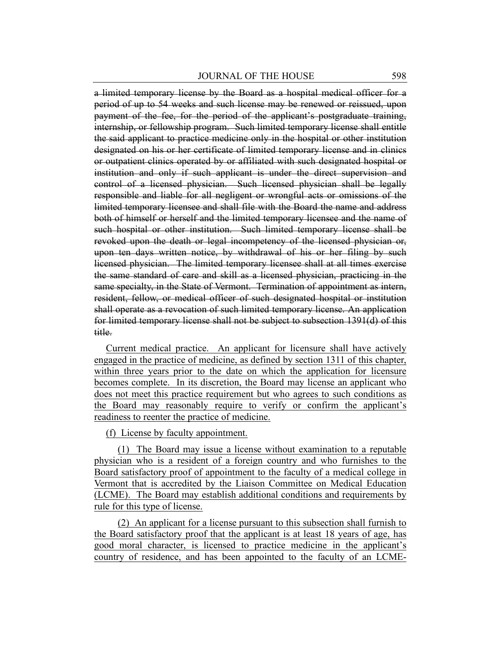a limited temporary license by the Board as a hospital medical officer for a period of up to 54 weeks and such license may be renewed or reissued, upon payment of the fee, for the period of the applicant's postgraduate training, internship, or fellowship program. Such limited temporary license shall entitle the said applicant to practice medicine only in the hospital or other institution designated on his or her certificate of limited temporary license and in clinics or outpatient clinics operated by or affiliated with such designated hospital or institution and only if such applicant is under the direct supervision and control of a licensed physician. Such licensed physician shall be legally responsible and liable for all negligent or wrongful acts or omissions of the limited temporary licensee and shall file with the Board the name and address both of himself or herself and the limited temporary licensee and the name of such hospital or other institution. Such limited temporary license shall be revoked upon the death or legal incompetency of the licensed physician or, upon ten days written notice, by withdrawal of his or her filing by such licensed physician. The limited temporary licensee shall at all times exercise the same standard of care and skill as a licensed physician, practicing in the same specialty, in the State of Vermont. Termination of appointment as intern, resident, fellow, or medical officer of such designated hospital or institution shall operate as a revocation of such limited temporary license. An application for limited temporary license shall not be subject to subsection 1391(d) of this title.

Current medical practice. An applicant for licensure shall have actively engaged in the practice of medicine, as defined by section 1311 of this chapter, within three years prior to the date on which the application for licensure becomes complete. In its discretion, the Board may license an applicant who does not meet this practice requirement but who agrees to such conditions as the Board may reasonably require to verify or confirm the applicant's readiness to reenter the practice of medicine.

(f) License by faculty appointment.

(1) The Board may issue a license without examination to a reputable physician who is a resident of a foreign country and who furnishes to the Board satisfactory proof of appointment to the faculty of a medical college in Vermont that is accredited by the Liaison Committee on Medical Education (LCME). The Board may establish additional conditions and requirements by rule for this type of license.

(2) An applicant for a license pursuant to this subsection shall furnish to the Board satisfactory proof that the applicant is at least 18 years of age, has good moral character, is licensed to practice medicine in the applicant's country of residence, and has been appointed to the faculty of an LCME-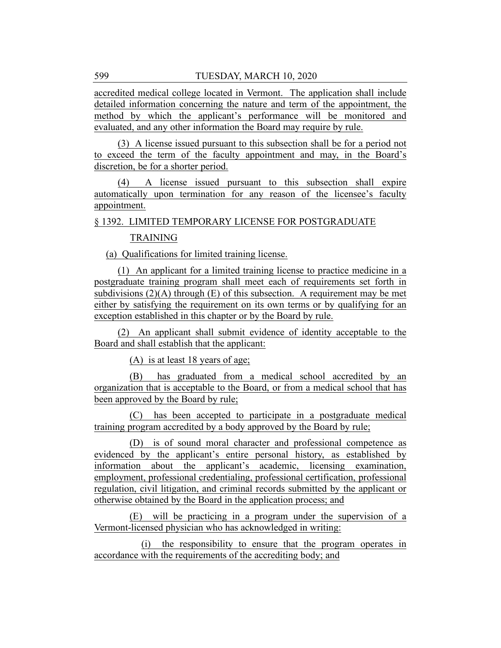accredited medical college located in Vermont. The application shall include detailed information concerning the nature and term of the appointment, the method by which the applicant's performance will be monitored and evaluated, and any other information the Board may require by rule.

(3) A license issued pursuant to this subsection shall be for a period not to exceed the term of the faculty appointment and may, in the Board's discretion, be for a shorter period.

(4) A license issued pursuant to this subsection shall expire automatically upon termination for any reason of the licensee's faculty appointment.

§ 1392. LIMITED TEMPORARY LICENSE FOR POSTGRADUATE

# TRAINING

(a) Qualifications for limited training license.

(1) An applicant for a limited training license to practice medicine in a postgraduate training program shall meet each of requirements set forth in subdivisions  $(2)(A)$  through  $(E)$  of this subsection. A requirement may be met either by satisfying the requirement on its own terms or by qualifying for an exception established in this chapter or by the Board by rule.

(2) An applicant shall submit evidence of identity acceptable to the Board and shall establish that the applicant:

(A) is at least 18 years of age;

(B) has graduated from a medical school accredited by an organization that is acceptable to the Board, or from a medical school that has been approved by the Board by rule;

(C) has been accepted to participate in a postgraduate medical training program accredited by a body approved by the Board by rule;

(D) is of sound moral character and professional competence as evidenced by the applicant's entire personal history, as established by information about the applicant's academic, licensing examination, employment, professional credentialing, professional certification, professional regulation, civil litigation, and criminal records submitted by the applicant or otherwise obtained by the Board in the application process; and

(E) will be practicing in a program under the supervision of a Vermont-licensed physician who has acknowledged in writing:

(i) the responsibility to ensure that the program operates in accordance with the requirements of the accrediting body; and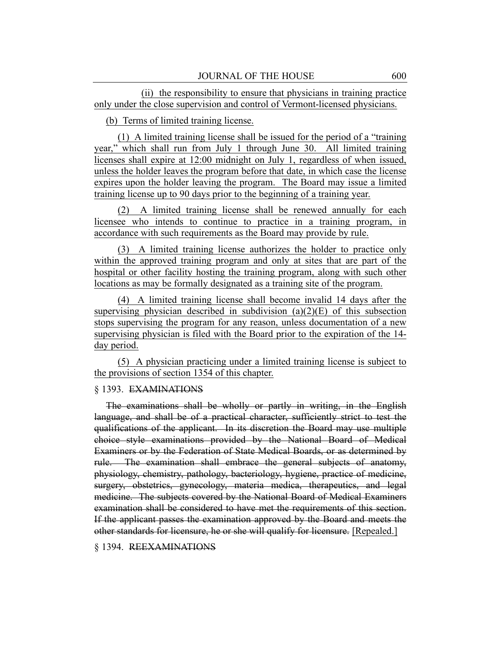(ii) the responsibility to ensure that physicians in training practice only under the close supervision and control of Vermont-licensed physicians.

(b) Terms of limited training license.

(1) A limited training license shall be issued for the period of a "training year," which shall run from July 1 through June 30. All limited training licenses shall expire at 12:00 midnight on July 1, regardless of when issued, unless the holder leaves the program before that date, in which case the license expires upon the holder leaving the program. The Board may issue a limited training license up to 90 days prior to the beginning of a training year.

(2) A limited training license shall be renewed annually for each licensee who intends to continue to practice in a training program, in accordance with such requirements as the Board may provide by rule.

(3) A limited training license authorizes the holder to practice only within the approved training program and only at sites that are part of the hospital or other facility hosting the training program, along with such other locations as may be formally designated as a training site of the program.

(4) A limited training license shall become invalid 14 days after the supervising physician described in subdivision  $(a)(2)(E)$  of this subsection stops supervising the program for any reason, unless documentation of a new supervising physician is filed with the Board prior to the expiration of the 14 day period.

(5) A physician practicing under a limited training license is subject to the provisions of section 1354 of this chapter.

# § 1393. EXAMINATIONS

The examinations shall be wholly or partly in writing, in the English language, and shall be of a practical character, sufficiently strict to test the qualifications of the applicant. In its discretion the Board may use multiple choice style examinations provided by the National Board of Medical Examiners or by the Federation of State Medical Boards, or as determined by rule. The examination shall embrace the general subjects of anatomy, physiology, chemistry, pathology, bacteriology, hygiene, practice of medicine, surgery, obstetrics, gynecology, materia medica, therapeutics, and legal medicine. The subjects covered by the National Board of Medical Examiners examination shall be considered to have met the requirements of this section. If the applicant passes the examination approved by the Board and meets the other standards for licensure, he or she will qualify for licensure. [Repealed.]

§ 1394. REEXAMINATIONS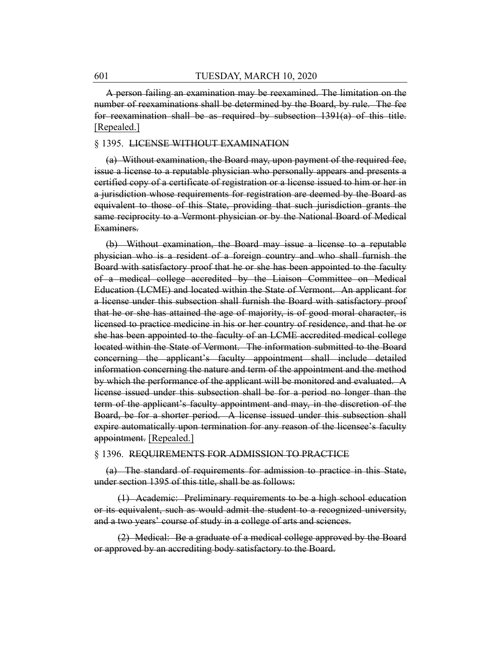A person failing an examination may be reexamined. The limitation on the number of reexaminations shall be determined by the Board, by rule. The fee for reexamination shall be as required by subsection 1391(a) of this title. [Repealed.]

#### § 1395. LICENSE WITHOUT EXAMINATION

(a) Without examination, the Board may, upon payment of the required fee, issue a license to a reputable physician who personally appears and presents a certified copy of a certificate of registration or a license issued to him or her in a jurisdiction whose requirements for registration are deemed by the Board as equivalent to those of this State, providing that such jurisdiction grants the same reciprocity to a Vermont physician or by the National Board of Medical Examiners.

(b) Without examination, the Board may issue a license to a reputable physician who is a resident of a foreign country and who shall furnish the Board with satisfactory proof that he or she has been appointed to the faculty of a medical college accredited by the Liaison Committee on Medical Education (LCME) and located within the State of Vermont. An applicant for a license under this subsection shall furnish the Board with satisfactory proof that he or she has attained the age of majority, is of good moral character, is licensed to practice medicine in his or her country of residence, and that he or she has been appointed to the faculty of an LCME accredited medical college located within the State of Vermont. The information submitted to the Board concerning the applicant's faculty appointment shall include detailed information concerning the nature and term of the appointment and the method by which the performance of the applicant will be monitored and evaluated. A license issued under this subsection shall be for a period no longer than the term of the applicant's faculty appointment and may, in the discretion of the Board, be for a shorter period. A license issued under this subsection shall expire automatically upon termination for any reason of the licensee's faculty appointment. [Repealed.]

#### § 1396. REQUIREMENTS FOR ADMISSION TO PRACTICE

(a) The standard of requirements for admission to practice in this State, under section 1395 of this title, shall be as follows:

(1) Academic: Preliminary requirements to be a high school education or its equivalent, such as would admit the student to a recognized university, and a two years' course of study in a college of arts and sciences.

(2) Medical: Be a graduate of a medical college approved by the Board or approved by an accrediting body satisfactory to the Board.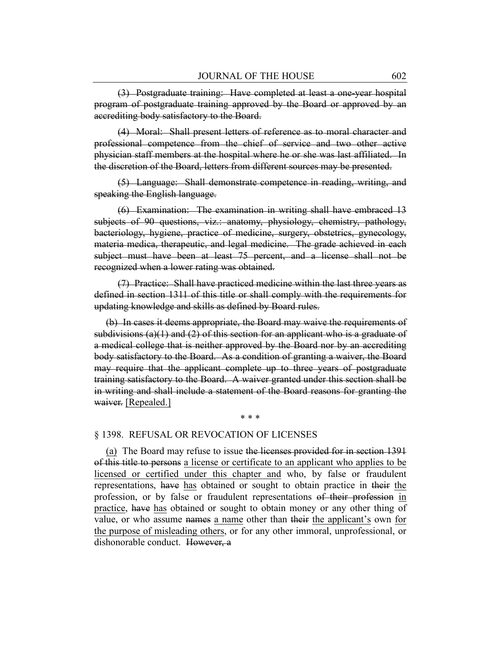(3) Postgraduate training: Have completed at least a one-year hospital program of postgraduate training approved by the Board or approved by an accrediting body satisfactory to the Board.

(4) Moral: Shall present letters of reference as to moral character and professional competence from the chief of service and two other active physician staff members at the hospital where he or she was last affiliated. In the discretion of the Board, letters from different sources may be presented.

(5) Language: Shall demonstrate competence in reading, writing, and speaking the English language.

(6) Examination: The examination in writing shall have embraced 13 subjects of 90 questions, viz.: anatomy, physiology, chemistry, pathology, bacteriology, hygiene, practice of medicine, surgery, obstetrics, gynecology, materia medica, therapeutic, and legal medicine. The grade achieved in each subject must have been at least 75 percent, and a license shall not be recognized when a lower rating was obtained.

(7) Practice: Shall have practiced medicine within the last three years as defined in section 1311 of this title or shall comply with the requirements for updating knowledge and skills as defined by Board rules.

(b) In cases it deems appropriate, the Board may waive the requirements of subdivisions (a)(1) and (2) of this section for an applicant who is a graduate of a medical college that is neither approved by the Board nor by an accrediting body satisfactory to the Board. As a condition of granting a waiver, the Board may require that the applicant complete up to three years of postgraduate training satisfactory to the Board. A waiver granted under this section shall be in writing and shall include a statement of the Board reasons for granting the waiver. [Repealed.]

\* \* \*

#### § 1398. REFUSAL OR REVOCATION OF LICENSES

(a) The Board may refuse to issue the licenses provided for in section 1391 of this title to persons a license or certificate to an applicant who applies to be licensed or certified under this chapter and who, by false or fraudulent representations, have has obtained or sought to obtain practice in their the profession, or by false or fraudulent representations of their profession in practice, have has obtained or sought to obtain money or any other thing of value, or who assume names a name other than their the applicant's own for the purpose of misleading others, or for any other immoral, unprofessional, or dishonorable conduct. However, a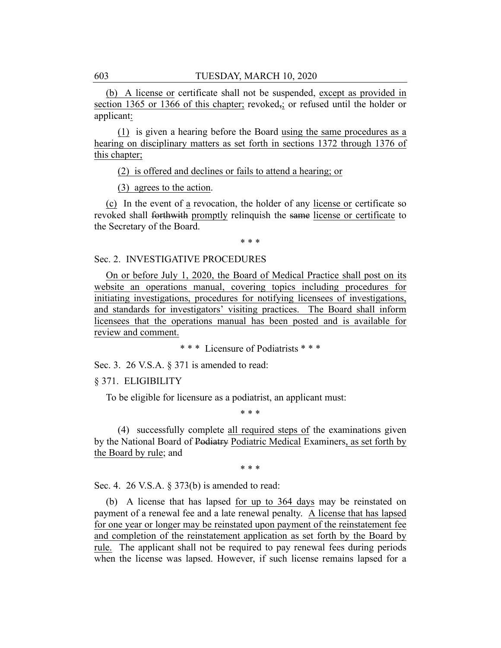(b) A license or certificate shall not be suspended, except as provided in section 1365 or 1366 of this chapter; revoked<sub>5</sub>; or refused until the holder or applicant:

(1) is given a hearing before the Board using the same procedures as a hearing on disciplinary matters as set forth in sections 1372 through 1376 of this chapter;

(2) is offered and declines or fails to attend a hearing; or

(3) agrees to the action.

(c) In the event of a revocation, the holder of any license or certificate so revoked shall forthwith promptly relinquish the same license or certificate to the Secretary of the Board.

\* \* \*

#### Sec. 2. INVESTIGATIVE PROCEDURES

On or before July 1, 2020, the Board of Medical Practice shall post on its website an operations manual, covering topics including procedures for initiating investigations, procedures for notifying licensees of investigations, and standards for investigators' visiting practices. The Board shall inform licensees that the operations manual has been posted and is available for review and comment.

\* \* \* Licensure of Podiatrists \* \* \*

Sec. 3. 26 V.S.A. § 371 is amended to read:

§ 371. ELIGIBILITY

To be eligible for licensure as a podiatrist, an applicant must:

\* \* \*

(4) successfully complete all required steps of the examinations given by the National Board of Podiatry Podiatric Medical Examiners, as set forth by the Board by rule; and

\* \* \*

Sec. 4. 26 V.S.A. § 373(b) is amended to read:

(b) A license that has lapsed for up to 364 days may be reinstated on payment of a renewal fee and a late renewal penalty. A license that has lapsed for one year or longer may be reinstated upon payment of the reinstatement fee and completion of the reinstatement application as set forth by the Board by rule. The applicant shall not be required to pay renewal fees during periods when the license was lapsed. However, if such license remains lapsed for a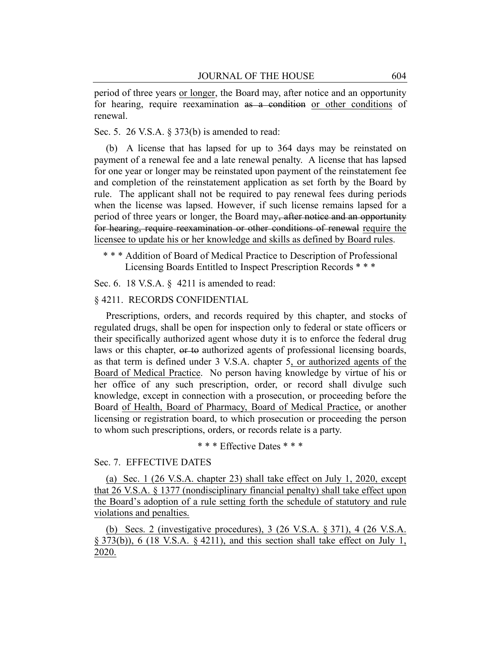period of three years or longer, the Board may, after notice and an opportunity for hearing, require reexamination as a condition or other conditions of renewal.

Sec. 5. 26 V.S.A. § 373(b) is amended to read:

(b) A license that has lapsed for up to 364 days may be reinstated on payment of a renewal fee and a late renewal penalty. A license that has lapsed for one year or longer may be reinstated upon payment of the reinstatement fee and completion of the reinstatement application as set forth by the Board by rule. The applicant shall not be required to pay renewal fees during periods when the license was lapsed. However, if such license remains lapsed for a period of three years or longer, the Board may, after notice and an opportunity for hearing, require reexamination or other conditions of renewal require the licensee to update his or her knowledge and skills as defined by Board rules.

\* \* \* Addition of Board of Medical Practice to Description of Professional Licensing Boards Entitled to Inspect Prescription Records \* \* \*

Sec. 6. 18 V.S.A. § 4211 is amended to read:

#### § 4211. RECORDS CONFIDENTIAL

Prescriptions, orders, and records required by this chapter, and stocks of regulated drugs, shall be open for inspection only to federal or state officers or their specifically authorized agent whose duty it is to enforce the federal drug laws or this chapter, or to authorized agents of professional licensing boards, as that term is defined under 3 V.S.A. chapter 5, or authorized agents of the Board of Medical Practice. No person having knowledge by virtue of his or her office of any such prescription, order, or record shall divulge such knowledge, except in connection with a prosecution, or proceeding before the Board of Health, Board of Pharmacy, Board of Medical Practice, or another licensing or registration board, to which prosecution or proceeding the person to whom such prescriptions, orders, or records relate is a party.

\* \* \* Effective Dates \* \* \*

#### Sec. 7. EFFECTIVE DATES

(a) Sec. 1 (26 V.S.A. chapter 23) shall take effect on July 1, 2020, except that 26 V.S.A. § 1377 (nondisciplinary financial penalty) shall take effect upon the Board's adoption of a rule setting forth the schedule of statutory and rule violations and penalties.

(b) Secs. 2 (investigative procedures), 3 (26 V.S.A. § 371), 4 (26 V.S.A. § 373(b)), 6 (18 V.S.A. § 4211), and this section shall take effect on July 1, 2020.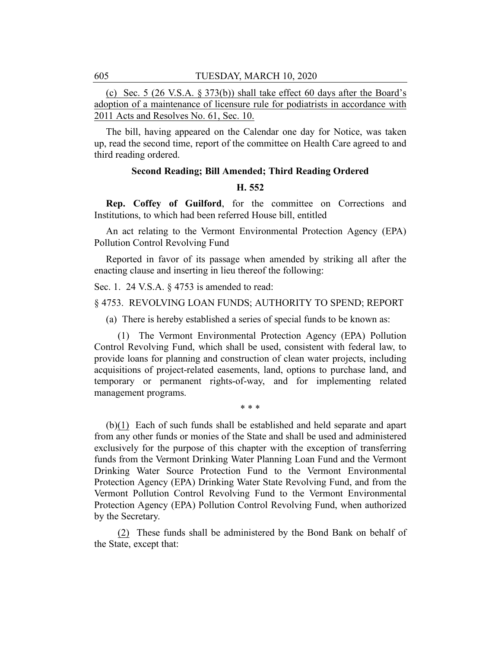(c) Sec. 5 (26 V.S.A. § 373(b)) shall take effect 60 days after the Board's adoption of a maintenance of licensure rule for podiatrists in accordance with 2011 Acts and Resolves No. 61, Sec. 10.

The bill, having appeared on the Calendar one day for Notice, was taken up, read the second time, report of the committee on Health Care agreed to and third reading ordered.

# **Second Reading; Bill Amended; Third Reading Ordered**

#### **H. 552**

**Rep. Coffey of Guilford**, for the committee on Corrections and Institutions, to which had been referred House bill, entitled

An act relating to the Vermont Environmental Protection Agency (EPA) Pollution Control Revolving Fund

Reported in favor of its passage when amended by striking all after the enacting clause and inserting in lieu thereof the following:

Sec. 1. 24 V.S.A. § 4753 is amended to read:

§ 4753. REVOLVING LOAN FUNDS; AUTHORITY TO SPEND; REPORT

(a) There is hereby established a series of special funds to be known as:

(1) The Vermont Environmental Protection Agency (EPA) Pollution Control Revolving Fund, which shall be used, consistent with federal law, to provide loans for planning and construction of clean water projects, including acquisitions of project-related easements, land, options to purchase land, and temporary or permanent rights-of-way, and for implementing related management programs.

\* \* \*

(b)(1) Each of such funds shall be established and held separate and apart from any other funds or monies of the State and shall be used and administered exclusively for the purpose of this chapter with the exception of transferring funds from the Vermont Drinking Water Planning Loan Fund and the Vermont Drinking Water Source Protection Fund to the Vermont Environmental Protection Agency (EPA) Drinking Water State Revolving Fund, and from the Vermont Pollution Control Revolving Fund to the Vermont Environmental Protection Agency (EPA) Pollution Control Revolving Fund, when authorized by the Secretary.

(2) These funds shall be administered by the Bond Bank on behalf of the State, except that: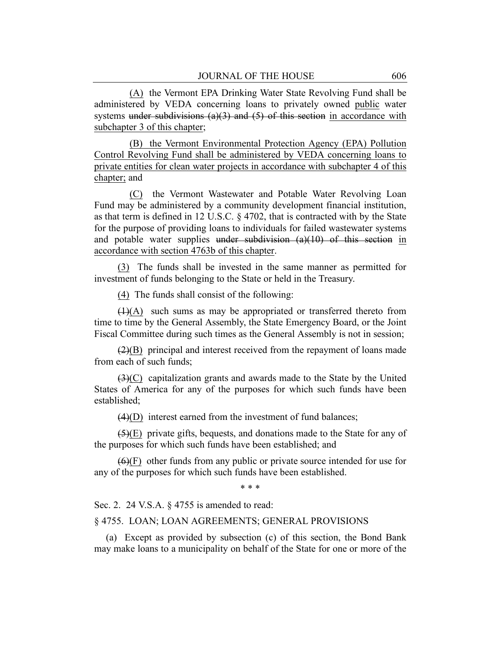(A) the Vermont EPA Drinking Water State Revolving Fund shall be administered by VEDA concerning loans to privately owned public water systems under subdivisions (a)(3) and (5) of this section in accordance with subchapter 3 of this chapter;

(B) the Vermont Environmental Protection Agency (EPA) Pollution Control Revolving Fund shall be administered by VEDA concerning loans to private entities for clean water projects in accordance with subchapter 4 of this chapter; and

(C) the Vermont Wastewater and Potable Water Revolving Loan Fund may be administered by a community development financial institution, as that term is defined in 12 U.S.C. § 4702, that is contracted with by the State for the purpose of providing loans to individuals for failed wastewater systems and potable water supplies under subdivision  $(a)(10)$  of this section in accordance with section 4763b of this chapter.

(3) The funds shall be invested in the same manner as permitted for investment of funds belonging to the State or held in the Treasury.

(4) The funds shall consist of the following:

(1)(A) such sums as may be appropriated or transferred thereto from time to time by the General Assembly, the State Emergency Board, or the Joint Fiscal Committee during such times as the General Assembly is not in session;

 $(2)(B)$  principal and interest received from the repayment of loans made from each of such funds;

(3)(C) capitalization grants and awards made to the State by the United States of America for any of the purposes for which such funds have been established;

 $(4)(D)$  interest earned from the investment of fund balances;

(5)(E) private gifts, bequests, and donations made to the State for any of the purposes for which such funds have been established; and

 $(6)(F)$  other funds from any public or private source intended for use for any of the purposes for which such funds have been established.

\* \* \*

Sec. 2. 24 V.S.A. § 4755 is amended to read:

#### § 4755. LOAN; LOAN AGREEMENTS; GENERAL PROVISIONS

(a) Except as provided by subsection (c) of this section, the Bond Bank may make loans to a municipality on behalf of the State for one or more of the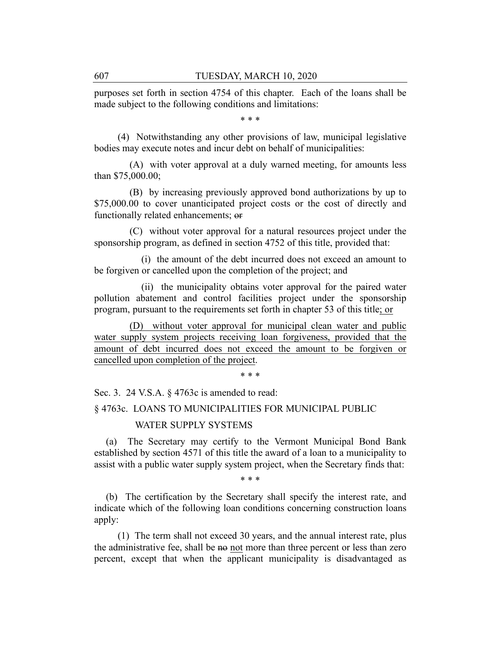purposes set forth in section 4754 of this chapter. Each of the loans shall be made subject to the following conditions and limitations:

\* \* \*

(4) Notwithstanding any other provisions of law, municipal legislative bodies may execute notes and incur debt on behalf of municipalities:

(A) with voter approval at a duly warned meeting, for amounts less than \$75,000.00;

(B) by increasing previously approved bond authorizations by up to \$75,000.00 to cover unanticipated project costs or the cost of directly and functionally related enhancements; or

(C) without voter approval for a natural resources project under the sponsorship program, as defined in section 4752 of this title, provided that:

(i) the amount of the debt incurred does not exceed an amount to be forgiven or cancelled upon the completion of the project; and

(ii) the municipality obtains voter approval for the paired water pollution abatement and control facilities project under the sponsorship program, pursuant to the requirements set forth in chapter 53 of this title; or

(D) without voter approval for municipal clean water and public water supply system projects receiving loan forgiveness, provided that the amount of debt incurred does not exceed the amount to be forgiven or cancelled upon completion of the project.

\* \* \*

Sec. 3. 24 V.S.A. § 4763c is amended to read:

# § 4763c. LOANS TO MUNICIPALITIES FOR MUNICIPAL PUBLIC

#### WATER SUPPLY SYSTEMS

(a) The Secretary may certify to the Vermont Municipal Bond Bank established by section 4571 of this title the award of a loan to a municipality to assist with a public water supply system project, when the Secretary finds that:

\* \* \*

(b) The certification by the Secretary shall specify the interest rate, and indicate which of the following loan conditions concerning construction loans apply:

(1) The term shall not exceed 30 years, and the annual interest rate, plus the administrative fee, shall be no not more than three percent or less than zero percent, except that when the applicant municipality is disadvantaged as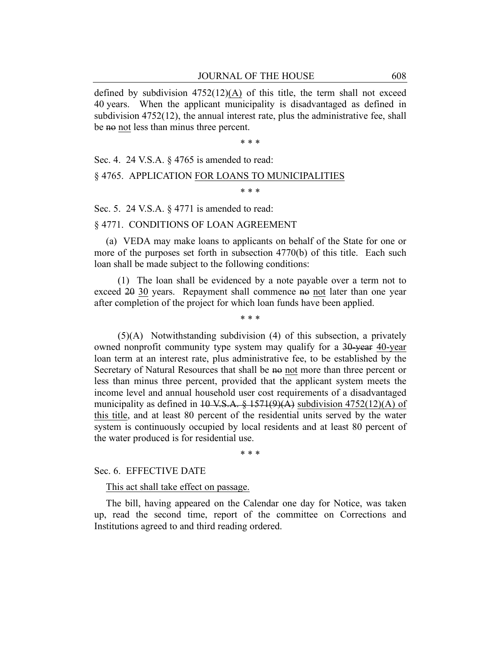defined by subdivision  $4752(12)(A)$  of this title, the term shall not exceed 40 years. When the applicant municipality is disadvantaged as defined in subdivision 4752(12), the annual interest rate, plus the administrative fee, shall be no not less than minus three percent.

\* \* \*

Sec. 4. 24 V.S.A. § 4765 is amended to read:

# § 4765. APPLICATION FOR LOANS TO MUNICIPALITIES

\* \* \*

Sec. 5. 24 V.S.A. § 4771 is amended to read:

#### § 4771. CONDITIONS OF LOAN AGREEMENT

(a) VEDA may make loans to applicants on behalf of the State for one or more of the purposes set forth in subsection 4770(b) of this title. Each such loan shall be made subject to the following conditions:

(1) The loan shall be evidenced by a note payable over a term not to exceed 20 30 years. Repayment shall commence no not later than one year after completion of the project for which loan funds have been applied.

\* \* \*

(5)(A) Notwithstanding subdivision (4) of this subsection, a privately owned nonprofit community type system may qualify for a 30-year 40-year loan term at an interest rate, plus administrative fee, to be established by the Secretary of Natural Resources that shall be no not more than three percent or less than minus three percent, provided that the applicant system meets the income level and annual household user cost requirements of a disadvantaged municipality as defined in  $10$  V.S.A. § 1571(9)(A) subdivision 4752(12)(A) of this title, and at least 80 percent of the residential units served by the water system is continuously occupied by local residents and at least 80 percent of the water produced is for residential use.

\* \* \*

# Sec. 6. EFFECTIVE DATE

This act shall take effect on passage.

The bill, having appeared on the Calendar one day for Notice, was taken up, read the second time, report of the committee on Corrections and Institutions agreed to and third reading ordered.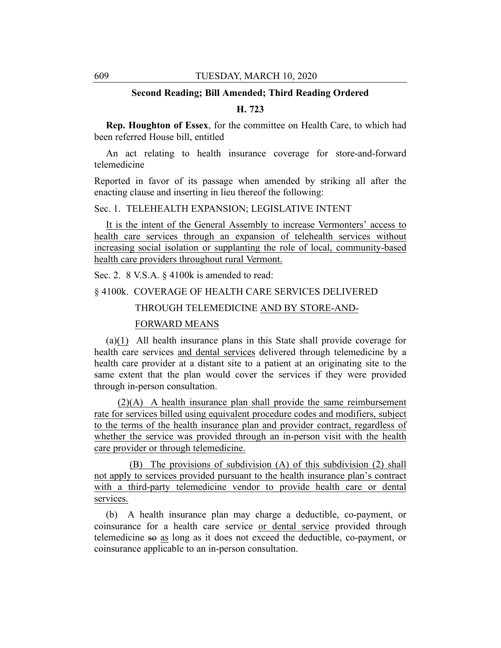# **Second Reading; Bill Amended; Third Reading Ordered**

#### **H. 723**

**Rep. Houghton of Essex**, for the committee on Health Care, to which had been referred House bill, entitled

An act relating to health insurance coverage for store-and-forward telemedicine

Reported in favor of its passage when amended by striking all after the enacting clause and inserting in lieu thereof the following:

# Sec. 1. TELEHEALTH EXPANSION; LEGISLATIVE INTENT

It is the intent of the General Assembly to increase Vermonters' access to health care services through an expansion of telehealth services without increasing social isolation or supplanting the role of local, community-based health care providers throughout rural Vermont.

Sec. 2. 8 V.S.A. § 4100k is amended to read:

§ 4100k. COVERAGE OF HEALTH CARE SERVICES DELIVERED

THROUGH TELEMEDICINE AND BY STORE-AND-

#### FORWARD MEANS

(a)(1) All health insurance plans in this State shall provide coverage for health care services and dental services delivered through telemedicine by a health care provider at a distant site to a patient at an originating site to the same extent that the plan would cover the services if they were provided through in-person consultation.

(2)(A) A health insurance plan shall provide the same reimbursement rate for services billed using equivalent procedure codes and modifiers, subject to the terms of the health insurance plan and provider contract, regardless of whether the service was provided through an in-person visit with the health care provider or through telemedicine.

(B) The provisions of subdivision (A) of this subdivision (2) shall not apply to services provided pursuant to the health insurance plan's contract with a third-party telemedicine vendor to provide health care or dental services.

(b) A health insurance plan may charge a deductible, co-payment, or coinsurance for a health care service or dental service provided through telemedicine so as long as it does not exceed the deductible, co-payment, or coinsurance applicable to an in-person consultation.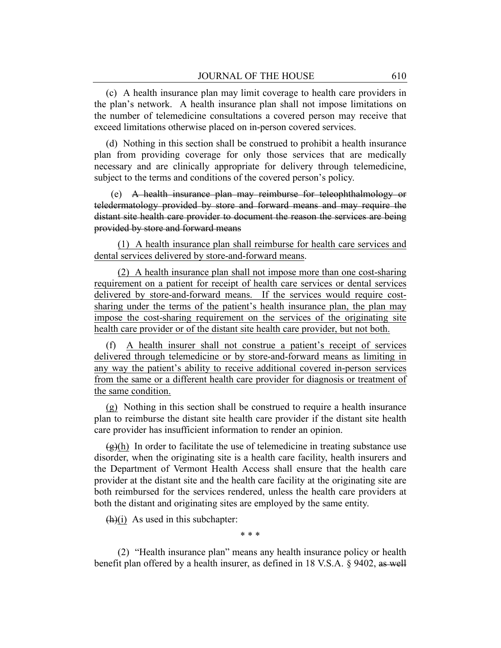(c) A health insurance plan may limit coverage to health care providers in the plan's network. A health insurance plan shall not impose limitations on the number of telemedicine consultations a covered person may receive that exceed limitations otherwise placed on in-person covered services.

(d) Nothing in this section shall be construed to prohibit a health insurance plan from providing coverage for only those services that are medically necessary and are clinically appropriate for delivery through telemedicine, subject to the terms and conditions of the covered person's policy.

(e) A health insurance plan may reimburse for teleophthalmology or teledermatology provided by store and forward means and may require the distant site health care provider to document the reason the services are being provided by store and forward means

(1) A health insurance plan shall reimburse for health care services and dental services delivered by store-and-forward means.

(2) A health insurance plan shall not impose more than one cost-sharing requirement on a patient for receipt of health care services or dental services delivered by store-and-forward means. If the services would require costsharing under the terms of the patient's health insurance plan, the plan may impose the cost-sharing requirement on the services of the originating site health care provider or of the distant site health care provider, but not both.

(f) A health insurer shall not construe a patient's receipt of services delivered through telemedicine or by store-and-forward means as limiting in any way the patient's ability to receive additional covered in-person services from the same or a different health care provider for diagnosis or treatment of the same condition.

(g) Nothing in this section shall be construed to require a health insurance plan to reimburse the distant site health care provider if the distant site health care provider has insufficient information to render an opinion.

 $\left(\frac{\alpha}{\beta}\right)$  In order to facilitate the use of telemedicine in treating substance use disorder, when the originating site is a health care facility, health insurers and the Department of Vermont Health Access shall ensure that the health care provider at the distant site and the health care facility at the originating site are both reimbursed for the services rendered, unless the health care providers at both the distant and originating sites are employed by the same entity.

 $(h)(i)$  As used in this subchapter:

\* \* \*

(2) "Health insurance plan" means any health insurance policy or health benefit plan offered by a health insurer, as defined in 18 V.S.A. § 9402, as well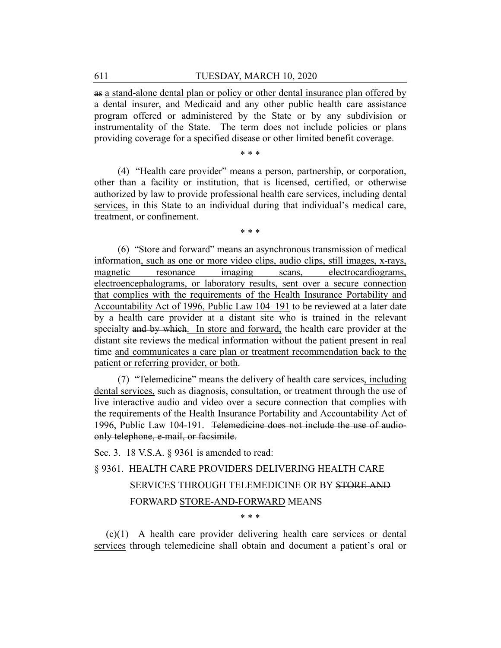as a stand-alone dental plan or policy or other dental insurance plan offered by a dental insurer, and Medicaid and any other public health care assistance program offered or administered by the State or by any subdivision or instrumentality of the State. The term does not include policies or plans providing coverage for a specified disease or other limited benefit coverage.

\* \* \*

(4) "Health care provider" means a person, partnership, or corporation, other than a facility or institution, that is licensed, certified, or otherwise authorized by law to provide professional health care services, including dental services, in this State to an individual during that individual's medical care, treatment, or confinement.

\* \* \*

(6) "Store and forward" means an asynchronous transmission of medical information, such as one or more video clips, audio clips, still images, x-rays, magnetic resonance imaging scans, electrocardiograms, electroencephalograms, or laboratory results, sent over a secure connection that complies with the requirements of the Health Insurance Portability and Accountability Act of 1996, Public Law 104–191 to be reviewed at a later date by a health care provider at a distant site who is trained in the relevant specialty and by which. In store and forward, the health care provider at the distant site reviews the medical information without the patient present in real time and communicates a care plan or treatment recommendation back to the patient or referring provider, or both.

(7) "Telemedicine" means the delivery of health care services, including dental services, such as diagnosis, consultation, or treatment through the use of live interactive audio and video over a secure connection that complies with the requirements of the Health Insurance Portability and Accountability Act of 1996, Public Law 104-191. Telemedicine does not include the use of audioonly telephone, e-mail, or facsimile.

Sec. 3. 18 V.S.A. § 9361 is amended to read:

# § 9361. HEALTH CARE PROVIDERS DELIVERING HEALTH CARE SERVICES THROUGH TELEMEDICINE OR BY STORE AND FORWARD STORE-AND-FORWARD MEANS \* \* \*

(c)(1) A health care provider delivering health care services or dental services through telemedicine shall obtain and document a patient's oral or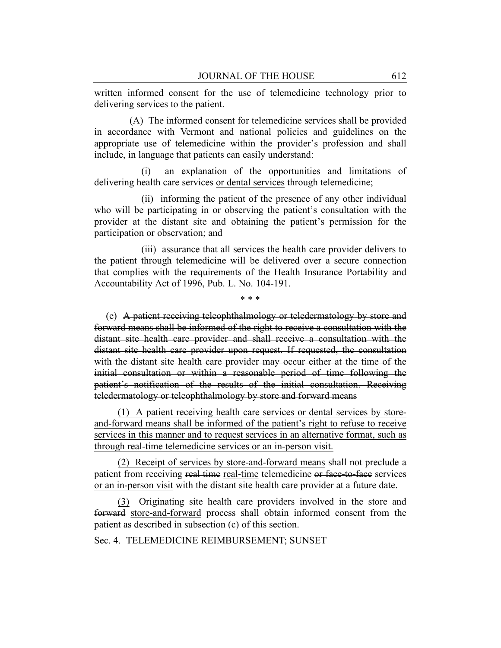written informed consent for the use of telemedicine technology prior to delivering services to the patient.

(A) The informed consent for telemedicine services shall be provided in accordance with Vermont and national policies and guidelines on the appropriate use of telemedicine within the provider's profession and shall include, in language that patients can easily understand:

(i) an explanation of the opportunities and limitations of delivering health care services or dental services through telemedicine;

(ii) informing the patient of the presence of any other individual who will be participating in or observing the patient's consultation with the provider at the distant site and obtaining the patient's permission for the participation or observation; and

(iii) assurance that all services the health care provider delivers to the patient through telemedicine will be delivered over a secure connection that complies with the requirements of the Health Insurance Portability and Accountability Act of 1996, Pub. L. No. 104-191.

\* \* \*

(e) A patient receiving teleophthalmology or teledermatology by store and forward means shall be informed of the right to receive a consultation with the distant site health care provider and shall receive a consultation with the distant site health care provider upon request. If requested, the consultation with the distant site health care provider may occur either at the time of the initial consultation or within a reasonable period of time following the patient's notification of the results of the initial consultation. Receiving teledermatology or teleophthalmology by store and forward means

(1) A patient receiving health care services or dental services by storeand-forward means shall be informed of the patient's right to refuse to receive services in this manner and to request services in an alternative format, such as through real-time telemedicine services or an in-person visit.

(2) Receipt of services by store-and-forward means shall not preclude a patient from receiving real time real-time telemedicine or face-to-face services or an in-person visit with the distant site health care provider at a future date.

(3) Originating site health care providers involved in the store and forward store-and-forward process shall obtain informed consent from the patient as described in subsection (c) of this section.

Sec. 4. TELEMEDICINE REIMBURSEMENT; SUNSET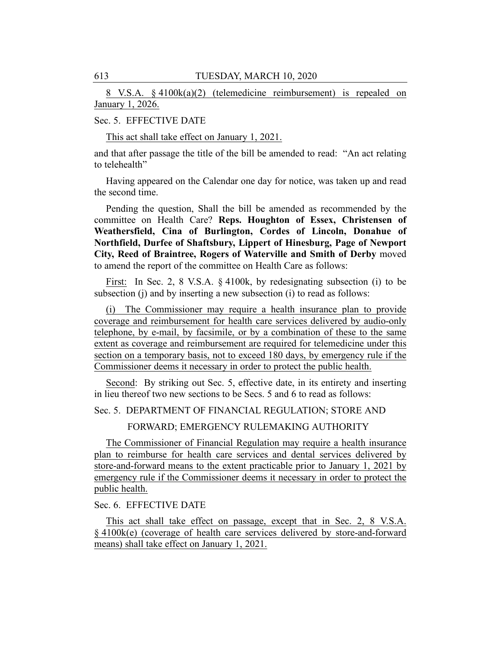8 V.S.A. § 4100k(a)(2) (telemedicine reimbursement) is repealed on January 1, 2026.

# Sec. 5. EFFECTIVE DATE

This act shall take effect on January 1, 2021.

and that after passage the title of the bill be amended to read: "An act relating to telehealth"

Having appeared on the Calendar one day for notice, was taken up and read the second time.

Pending the question, Shall the bill be amended as recommended by the committee on Health Care? **Reps. Houghton of Essex, Christensen of Weathersfield, Cina of Burlington, Cordes of Lincoln, Donahue of Northfield, Durfee of Shaftsbury, Lippert of Hinesburg, Page of Newport City, Reed of Braintree, Rogers of Waterville and Smith of Derby** moved to amend the report of the committee on Health Care as follows:

First: In Sec. 2, 8 V.S.A. § 4100k, by redesignating subsection (i) to be subsection (j) and by inserting a new subsection (i) to read as follows:

(i) The Commissioner may require a health insurance plan to provide coverage and reimbursement for health care services delivered by audio-only telephone, by e-mail, by facsimile, or by a combination of these to the same extent as coverage and reimbursement are required for telemedicine under this section on a temporary basis, not to exceed 180 days, by emergency rule if the Commissioner deems it necessary in order to protect the public health.

Second: By striking out Sec. 5, effective date, in its entirety and inserting in lieu thereof two new sections to be Secs. 5 and 6 to read as follows:

Sec. 5. DEPARTMENT OF FINANCIAL REGULATION; STORE AND

FORWARD; EMERGENCY RULEMAKING AUTHORITY

The Commissioner of Financial Regulation may require a health insurance plan to reimburse for health care services and dental services delivered by store-and-forward means to the extent practicable prior to January 1, 2021 by emergency rule if the Commissioner deems it necessary in order to protect the public health.

Sec. 6. EFFECTIVE DATE

This act shall take effect on passage, except that in Sec. 2, 8 V.S.A. § 4100k(e) (coverage of health care services delivered by store-and-forward means) shall take effect on January 1, 2021.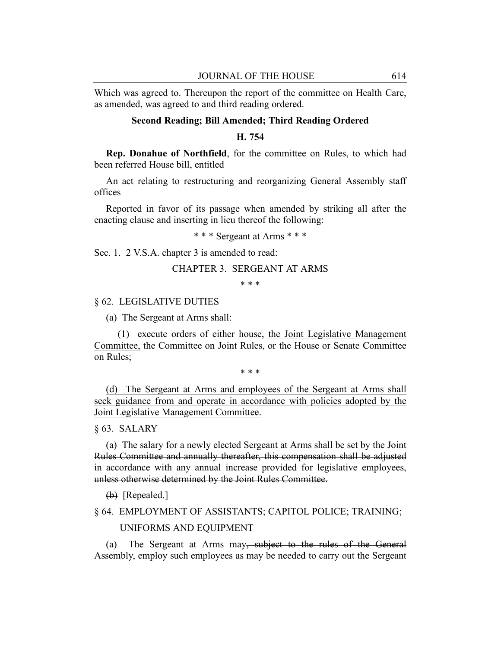Which was agreed to. Thereupon the report of the committee on Health Care, as amended, was agreed to and third reading ordered.

# **Second Reading; Bill Amended; Third Reading Ordered**

# **H. 754**

**Rep. Donahue of Northfield**, for the committee on Rules, to which had been referred House bill, entitled

An act relating to restructuring and reorganizing General Assembly staff offices

Reported in favor of its passage when amended by striking all after the enacting clause and inserting in lieu thereof the following:

\* \* \* Sergeant at Arms \* \* \*

Sec. 1. 2 V.S.A. chapter 3 is amended to read:

#### CHAPTER 3. SERGEANT AT ARMS

\* \* \*

## § 62. LEGISLATIVE DUTIES

(a) The Sergeant at Arms shall:

(1) execute orders of either house, the Joint Legislative Management Committee, the Committee on Joint Rules, or the House or Senate Committee on Rules;

\* \* \*

(d) The Sergeant at Arms and employees of the Sergeant at Arms shall seek guidance from and operate in accordance with policies adopted by the Joint Legislative Management Committee.

#### § 63. SALARY

(a) The salary for a newly elected Sergeant at Arms shall be set by the Joint Rules Committee and annually thereafter, this compensation shall be adjusted in accordance with any annual increase provided for legislative employees, unless otherwise determined by the Joint Rules Committee.

(b) [Repealed.]

# § 64. EMPLOYMENT OF ASSISTANTS; CAPITOL POLICE; TRAINING; UNIFORMS AND EQUIPMENT

(a) The Sergeant at Arms may, subject to the rules of the General Assembly, employ such employees as may be needed to carry out the Sergeant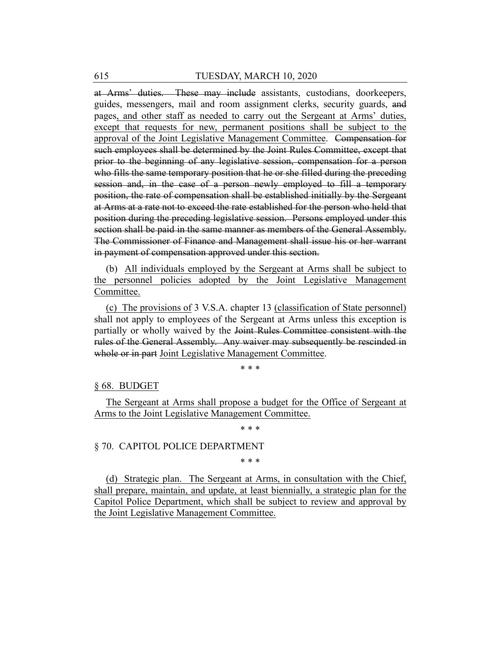at Arms' duties. These may include assistants, custodians, doorkeepers, guides, messengers, mail and room assignment clerks, security guards, and pages, and other staff as needed to carry out the Sergeant at Arms' duties, except that requests for new, permanent positions shall be subject to the approval of the Joint Legislative Management Committee. Compensation for such employees shall be determined by the Joint Rules Committee, except that prior to the beginning of any legislative session, compensation for a person who fills the same temporary position that he or she filled during the preceding session and, in the case of a person newly employed to fill a temporary position, the rate of compensation shall be established initially by the Sergeant at Arms at a rate not to exceed the rate established for the person who held that position during the preceding legislative session. Persons employed under this section shall be paid in the same manner as members of the General Assembly. The Commissioner of Finance and Management shall issue his or her warrant in payment of compensation approved under this section.

(b) All individuals employed by the Sergeant at Arms shall be subject to the personnel policies adopted by the Joint Legislative Management Committee.

(c) The provisions of 3 V.S.A. chapter 13 (classification of State personnel) shall not apply to employees of the Sergeant at Arms unless this exception is partially or wholly waived by the Joint Rules Committee consistent with the rules of the General Assembly. Any waiver may subsequently be rescinded in whole or in part Joint Legislative Management Committee.

\* \* \*

§ 68. BUDGET

The Sergeant at Arms shall propose a budget for the Office of Sergeant at Arms to the Joint Legislative Management Committee.

\* \* \*

# § 70. CAPITOL POLICE DEPARTMENT

\* \* \*

(d) Strategic plan. The Sergeant at Arms, in consultation with the Chief, shall prepare, maintain, and update, at least biennially, a strategic plan for the Capitol Police Department, which shall be subject to review and approval by the Joint Legislative Management Committee.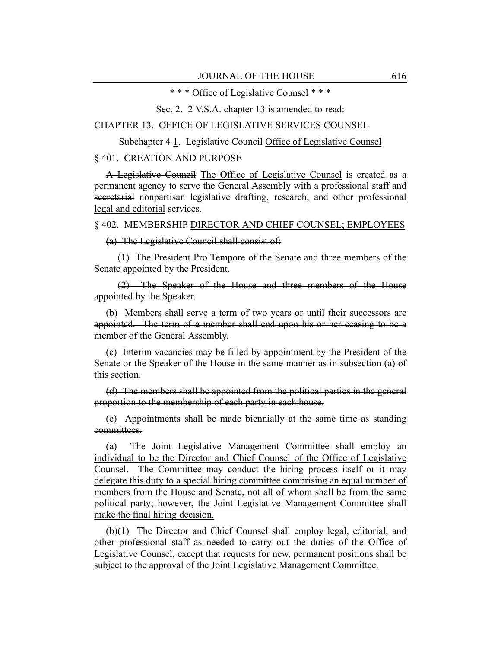\* \* \* Office of Legislative Counsel \* \* \*

Sec. 2. 2 V.S.A. chapter 13 is amended to read:

CHAPTER 13. OFFICE OF LEGISLATIVE SERVICES COUNSEL

Subchapter 4 1. Legislative Council Office of Legislative Counsel

#### § 401. CREATION AND PURPOSE

A Legislative Council The Office of Legislative Counsel is created as a permanent agency to serve the General Assembly with a professional staff and secretarial nonpartisan legislative drafting, research, and other professional legal and editorial services.

#### § 402. MEMBERSHIP DIRECTOR AND CHIEF COUNSEL; EMPLOYEES

(a) The Legislative Council shall consist of:

(1) The President Pro Tempore of the Senate and three members of the Senate appointed by the President.

(2) The Speaker of the House and three members of the House appointed by the Speaker.

(b) Members shall serve a term of two years or until their successors are appointed. The term of a member shall end upon his or her ceasing to be a member of the General Assembly.

(c) Interim vacancies may be filled by appointment by the President of the Senate or the Speaker of the House in the same manner as in subsection (a) of this section.

(d) The members shall be appointed from the political parties in the general proportion to the membership of each party in each house.

(e) Appointments shall be made biennially at the same time as standing committees.

(a) The Joint Legislative Management Committee shall employ an individual to be the Director and Chief Counsel of the Office of Legislative Counsel. The Committee may conduct the hiring process itself or it may delegate this duty to a special hiring committee comprising an equal number of members from the House and Senate, not all of whom shall be from the same political party; however, the Joint Legislative Management Committee shall make the final hiring decision.

(b)(1) The Director and Chief Counsel shall employ legal, editorial, and other professional staff as needed to carry out the duties of the Office of Legislative Counsel, except that requests for new, permanent positions shall be subject to the approval of the Joint Legislative Management Committee.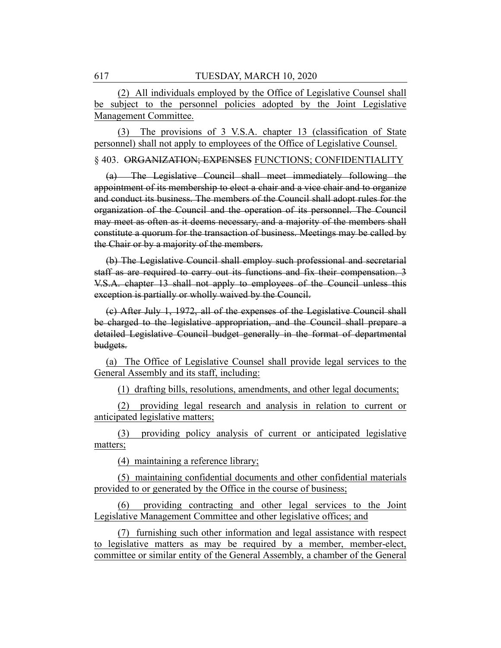(2) All individuals employed by the Office of Legislative Counsel shall be subject to the personnel policies adopted by the Joint Legislative Management Committee.

(3) The provisions of 3 V.S.A. chapter 13 (classification of State personnel) shall not apply to employees of the Office of Legislative Counsel.

§ 403. ORGANIZATION; EXPENSES FUNCTIONS; CONFIDENTIALITY

(a) The Legislative Council shall meet immediately following the appointment of its membership to elect a chair and a vice chair and to organize and conduct its business. The members of the Council shall adopt rules for the organization of the Council and the operation of its personnel. The Council may meet as often as it deems necessary, and a majority of the members shall constitute a quorum for the transaction of business. Meetings may be called by the Chair or by a majority of the members.

(b) The Legislative Council shall employ such professional and secretarial staff as are required to carry out its functions and fix their compensation. 3 V.S.A. chapter 13 shall not apply to employees of the Council unless this exception is partially or wholly waived by the Council.

(c) After July 1, 1972, all of the expenses of the Legislative Council shall be charged to the legislative appropriation, and the Council shall prepare a detailed Legislative Council budget generally in the format of departmental budgets.

(a) The Office of Legislative Counsel shall provide legal services to the General Assembly and its staff, including:

(1) drafting bills, resolutions, amendments, and other legal documents;

(2) providing legal research and analysis in relation to current or anticipated legislative matters;

(3) providing policy analysis of current or anticipated legislative matters;

(4) maintaining a reference library;

(5) maintaining confidential documents and other confidential materials provided to or generated by the Office in the course of business;

(6) providing contracting and other legal services to the Joint Legislative Management Committee and other legislative offices; and

(7) furnishing such other information and legal assistance with respect to legislative matters as may be required by a member, member-elect, committee or similar entity of the General Assembly, a chamber of the General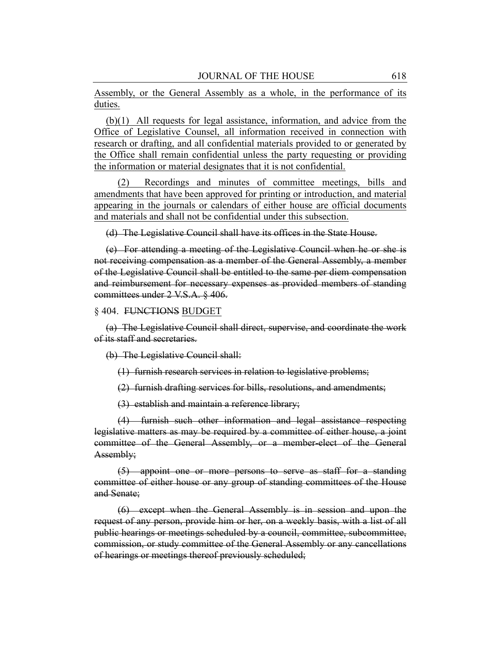Assembly, or the General Assembly as a whole, in the performance of its duties.

(b)(1) All requests for legal assistance, information, and advice from the Office of Legislative Counsel, all information received in connection with research or drafting, and all confidential materials provided to or generated by the Office shall remain confidential unless the party requesting or providing the information or material designates that it is not confidential.

(2) Recordings and minutes of committee meetings, bills and amendments that have been approved for printing or introduction, and material appearing in the journals or calendars of either house are official documents and materials and shall not be confidential under this subsection.

(d) The Legislative Council shall have its offices in the State House.

(e) For attending a meeting of the Legislative Council when he or she is not receiving compensation as a member of the General Assembly, a member of the Legislative Council shall be entitled to the same per diem compensation and reimbursement for necessary expenses as provided members of standing committees under 2 V.S.A. § 406.

§ 404. FUNCTIONS BUDGET

(a) The Legislative Council shall direct, supervise, and coordinate the work of its staff and secretaries.

(b) The Legislative Council shall:

(1) furnish research services in relation to legislative problems;

(2) furnish drafting services for bills, resolutions, and amendments;

(3) establish and maintain a reference library;

(4) furnish such other information and legal assistance respecting legislative matters as may be required by a committee of either house, a joint committee of the General Assembly, or a member-elect of the General Assembly;

(5) appoint one or more persons to serve as staff for a standing committee of either house or any group of standing committees of the House and Senate;

(6) except when the General Assembly is in session and upon the request of any person, provide him or her, on a weekly basis, with a list of all public hearings or meetings scheduled by a council, committee, subcommittee, commission, or study committee of the General Assembly or any cancellations of hearings or meetings thereof previously scheduled;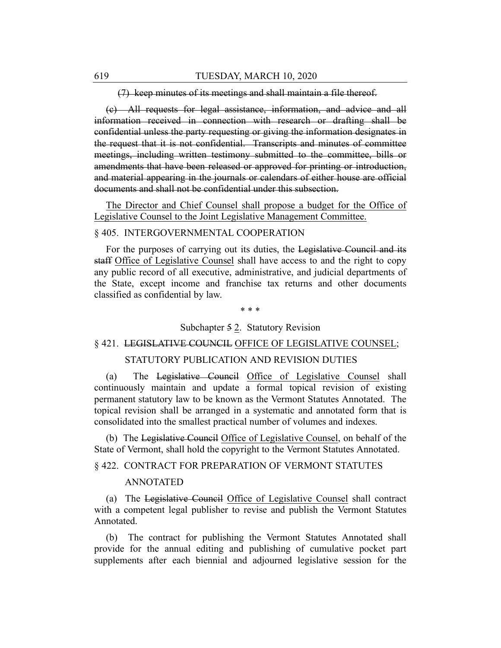(7) keep minutes of its meetings and shall maintain a file thereof.

(c) All requests for legal assistance, information, and advice and all information received in connection with research or drafting shall be confidential unless the party requesting or giving the information designates in the request that it is not confidential. Transcripts and minutes of committee meetings, including written testimony submitted to the committee, bills or amendments that have been released or approved for printing or introduction, and material appearing in the journals or calendars of either house are official documents and shall not be confidential under this subsection.

The Director and Chief Counsel shall propose a budget for the Office of Legislative Counsel to the Joint Legislative Management Committee.

#### § 405. INTERGOVERNMENTAL COOPERATION

For the purposes of carrying out its duties, the Legislative Council and its staff Office of Legislative Counsel shall have access to and the right to copy any public record of all executive, administrative, and judicial departments of the State, except income and franchise tax returns and other documents classified as confidential by law.

\* \* \*

Subchapter 5 2. Statutory Revision

# § 421. LEGISLATIVE COUNCIL OFFICE OF LEGISLATIVE COUNSEL;

# STATUTORY PUBLICATION AND REVISION DUTIES

(a) The Legislative Council Office of Legislative Counsel shall continuously maintain and update a formal topical revision of existing permanent statutory law to be known as the Vermont Statutes Annotated. The topical revision shall be arranged in a systematic and annotated form that is consolidated into the smallest practical number of volumes and indexes.

(b) The Legislative Council Office of Legislative Counsel, on behalf of the State of Vermont, shall hold the copyright to the Vermont Statutes Annotated.

§ 422. CONTRACT FOR PREPARATION OF VERMONT STATUTES

# ANNOTATED

(a) The Legislative Council Office of Legislative Counsel shall contract with a competent legal publisher to revise and publish the Vermont Statutes Annotated.

(b) The contract for publishing the Vermont Statutes Annotated shall provide for the annual editing and publishing of cumulative pocket part supplements after each biennial and adjourned legislative session for the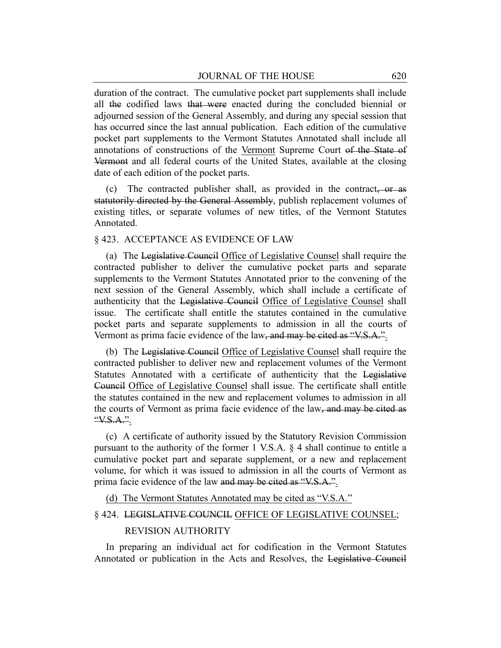duration of the contract. The cumulative pocket part supplements shall include all the codified laws that were enacted during the concluded biennial or adjourned session of the General Assembly, and during any special session that has occurred since the last annual publication. Each edition of the cumulative pocket part supplements to the Vermont Statutes Annotated shall include all annotations of constructions of the Vermont Supreme Court of the State of Vermont and all federal courts of the United States, available at the closing date of each edition of the pocket parts.

(c) The contracted publisher shall, as provided in the contract, or as statutorily directed by the General Assembly, publish replacement volumes of existing titles, or separate volumes of new titles, of the Vermont Statutes Annotated.

#### § 423. ACCEPTANCE AS EVIDENCE OF LAW

(a) The Legislative Council Office of Legislative Counsel shall require the contracted publisher to deliver the cumulative pocket parts and separate supplements to the Vermont Statutes Annotated prior to the convening of the next session of the General Assembly, which shall include a certificate of authenticity that the Legislative Council Office of Legislative Counsel shall issue. The certificate shall entitle the statutes contained in the cumulative pocket parts and separate supplements to admission in all the courts of Vermont as prima facie evidence of the law, and may be cited as "V.S.A.".

(b) The Legislative Council Office of Legislative Counsel shall require the contracted publisher to deliver new and replacement volumes of the Vermont Statutes Annotated with a certificate of authenticity that the Legislative Council Office of Legislative Counsel shall issue. The certificate shall entitle the statutes contained in the new and replacement volumes to admission in all the courts of Vermont as prima facie evidence of the law, and may be cited as "V.S.A.".

(c) A certificate of authority issued by the Statutory Revision Commission pursuant to the authority of the former 1 V.S.A. § 4 shall continue to entitle a cumulative pocket part and separate supplement, or a new and replacement volume, for which it was issued to admission in all the courts of Vermont as prima facie evidence of the law and may be cited as "V.S.A.".

(d) The Vermont Statutes Annotated may be cited as "V.S.A."

# § 424. LEGISLATIVE COUNCIL OFFICE OF LEGISLATIVE COUNSEL;

# REVISION AUTHORITY

In preparing an individual act for codification in the Vermont Statutes Annotated or publication in the Acts and Resolves, the Legislative Council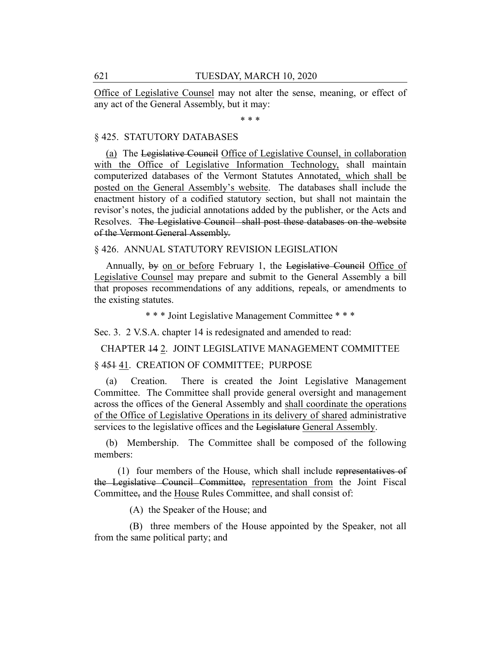Office of Legislative Counsel may not alter the sense, meaning, or effect of any act of the General Assembly, but it may:

\* \* \*

# § 425. STATUTORY DATABASES

(a) The Legislative Council Office of Legislative Counsel, in collaboration with the Office of Legislative Information Technology, shall maintain computerized databases of the Vermont Statutes Annotated, which shall be posted on the General Assembly's website. The databases shall include the enactment history of a codified statutory section, but shall not maintain the revisor's notes, the judicial annotations added by the publisher, or the Acts and Resolves. The Legislative Council shall post these databases on the website of the Vermont General Assembly.

§ 426. ANNUAL STATUTORY REVISION LEGISLATION

Annually, by on or before February 1, the Legislative Council Office of Legislative Counsel may prepare and submit to the General Assembly a bill that proposes recommendations of any additions, repeals, or amendments to the existing statutes.

\* \* \* Joint Legislative Management Committee \* \* \*

Sec. 3. 2 V.S.A. chapter 14 is redesignated and amended to read:

CHAPTER 14 2. JOINT LEGISLATIVE MANAGEMENT COMMITTEE

# § 451 41. CREATION OF COMMITTEE; PURPOSE

(a) Creation. There is created the Joint Legislative Management Committee. The Committee shall provide general oversight and management across the offices of the General Assembly and shall coordinate the operations of the Office of Legislative Operations in its delivery of shared administrative services to the legislative offices and the Legislature General Assembly.

(b) Membership. The Committee shall be composed of the following members:

(1) four members of the House, which shall include representatives of the Legislative Council Committee, representation from the Joint Fiscal Committee, and the House Rules Committee, and shall consist of:

(A) the Speaker of the House; and

(B) three members of the House appointed by the Speaker, not all from the same political party; and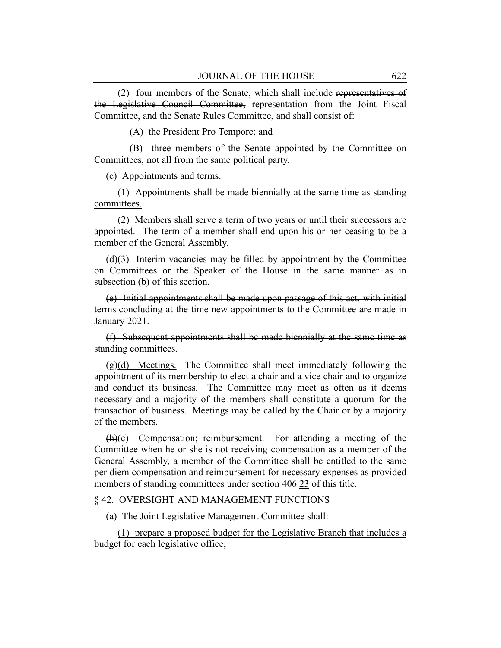(2) four members of the Senate, which shall include representatives of the Legislative Council Committee, representation from the Joint Fiscal Committee, and the Senate Rules Committee, and shall consist of:

(A) the President Pro Tempore; and

(B) three members of the Senate appointed by the Committee on Committees, not all from the same political party.

(c) Appointments and terms.

(1) Appointments shall be made biennially at the same time as standing committees.

(2) Members shall serve a term of two years or until their successors are appointed. The term of a member shall end upon his or her ceasing to be a member of the General Assembly.

 $(d)(3)$  Interim vacancies may be filled by appointment by the Committee on Committees or the Speaker of the House in the same manner as in subsection (b) of this section.

(e) Initial appointments shall be made upon passage of this act, with initial terms concluding at the time new appointments to the Committee are made in January 2021.

(f) Subsequent appointments shall be made biennially at the same time as standing committees.

 $\left(\frac{\alpha}{g}\right)(d)$  Meetings. The Committee shall meet immediately following the appointment of its membership to elect a chair and a vice chair and to organize and conduct its business. The Committee may meet as often as it deems necessary and a majority of the members shall constitute a quorum for the transaction of business. Meetings may be called by the Chair or by a majority of the members.

(h)(e) Compensation; reimbursement. For attending a meeting of the Committee when he or she is not receiving compensation as a member of the General Assembly, a member of the Committee shall be entitled to the same per diem compensation and reimbursement for necessary expenses as provided members of standing committees under section 406 23 of this title.

# § 42. OVERSIGHT AND MANAGEMENT FUNCTIONS

(a) The Joint Legislative Management Committee shall:

(1) prepare a proposed budget for the Legislative Branch that includes a budget for each legislative office;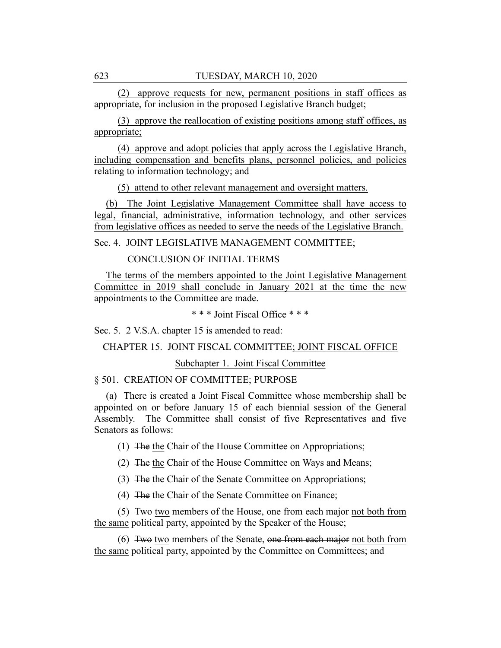(2) approve requests for new, permanent positions in staff offices as appropriate, for inclusion in the proposed Legislative Branch budget;

(3) approve the reallocation of existing positions among staff offices, as appropriate;

(4) approve and adopt policies that apply across the Legislative Branch, including compensation and benefits plans, personnel policies, and policies relating to information technology; and

(5) attend to other relevant management and oversight matters.

(b) The Joint Legislative Management Committee shall have access to legal, financial, administrative, information technology, and other services from legislative offices as needed to serve the needs of the Legislative Branch.

Sec. 4. JOINT LEGISLATIVE MANAGEMENT COMMITTEE;

CONCLUSION OF INITIAL TERMS

The terms of the members appointed to the Joint Legislative Management Committee in 2019 shall conclude in January 2021 at the time the new appointments to the Committee are made.

\* \* \* Joint Fiscal Office \* \* \*

Sec. 5. 2 V.S.A. chapter 15 is amended to read:

CHAPTER 15. JOINT FISCAL COMMITTEE; JOINT FISCAL OFFICE

Subchapter 1. Joint Fiscal Committee

§ 501. CREATION OF COMMITTEE; PURPOSE

(a) There is created a Joint Fiscal Committee whose membership shall be appointed on or before January 15 of each biennial session of the General Assembly. The Committee shall consist of five Representatives and five Senators as follows:

(1) The the Chair of the House Committee on Appropriations;

(2) The the Chair of the House Committee on Ways and Means;

(3) The the Chair of the Senate Committee on Appropriations;

(4) The the Chair of the Senate Committee on Finance;

(5) Two two members of the House, one from each major not both from the same political party, appointed by the Speaker of the House;

(6) Two two members of the Senate, one from each major not both from the same political party, appointed by the Committee on Committees; and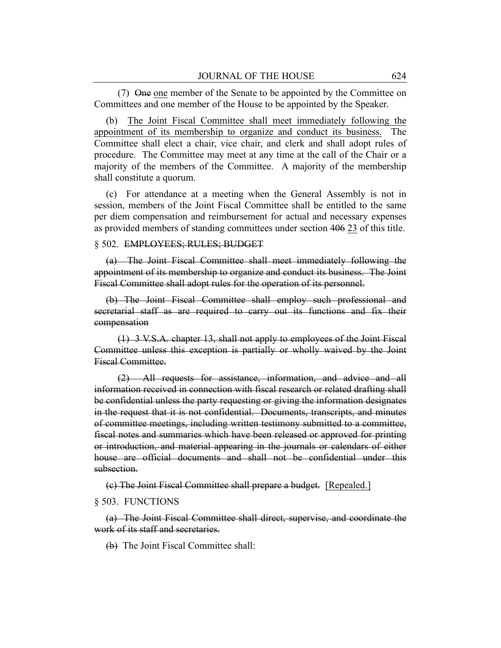(7) One one member of the Senate to be appointed by the Committee on Committees and one member of the House to be appointed by the Speaker.

(b) The Joint Fiscal Committee shall meet immediately following the appointment of its membership to organize and conduct its business. The Committee shall elect a chair, vice chair, and clerk and shall adopt rules of procedure. The Committee may meet at any time at the call of the Chair or a majority of the members of the Committee. A majority of the membership shall constitute a quorum.

(c) For attendance at a meeting when the General Assembly is not in session, members of the Joint Fiscal Committee shall be entitled to the same per diem compensation and reimbursement for actual and necessary expenses as provided members of standing committees under section 406 23 of this title.

#### § 502. EMPLOYEES; RULES; BUDGET

(a) The Joint Fiscal Committee shall meet immediately following the appointment of its membership to organize and conduct its business. The Joint Fiscal Committee shall adopt rules for the operation of its personnel.

(b) The Joint Fiscal Committee shall employ such professional and secretarial staff as are required to carry out its functions and fix their compensation

(1) 3 V.S.A. chapter 13, shall not apply to employees of the Joint Fiscal Committee unless this exception is partially or wholly waived by the Joint Fiscal Committee.

(2) All requests for assistance, information, and advice and all information received in connection with fiscal research or related drafting shall be confidential unless the party requesting or giving the information designates in the request that it is not confidential. Documents, transcripts, and minutes of committee meetings, including written testimony submitted to a committee, fiscal notes and summaries which have been released or approved for printing or introduction, and material appearing in the journals or calendars of either house are official documents and shall not be confidential under this subsection.

(c) The Joint Fiscal Committee shall prepare a budget. [Repealed.]

#### § 503. FUNCTIONS

(a) The Joint Fiscal Committee shall direct, supervise, and coordinate the work of its staff and secretaries.

(b) The Joint Fiscal Committee shall: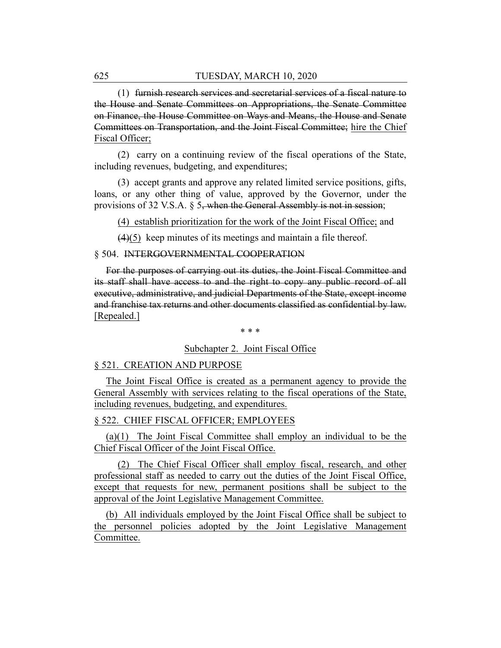(1) furnish research services and secretarial services of a fiscal nature to the House and Senate Committees on Appropriations, the Senate Committee on Finance, the House Committee on Ways and Means, the House and Senate Committees on Transportation, and the Joint Fiscal Committee; hire the Chief Fiscal Officer;

(2) carry on a continuing review of the fiscal operations of the State, including revenues, budgeting, and expenditures;

(3) accept grants and approve any related limited service positions, gifts, loans, or any other thing of value, approved by the Governor, under the provisions of 32 V.S.A.  $\S$  5, when the General Assembly is not in session;

(4) establish prioritization for the work of the Joint Fiscal Office; and

(4)(5) keep minutes of its meetings and maintain a file thereof.

#### § 504. INTERGOVERNMENTAL COOPERATION

For the purposes of carrying out its duties, the Joint Fiscal Committee and its staff shall have access to and the right to copy any public record of all executive, administrative, and judicial Departments of the State, except income and franchise tax returns and other documents classified as confidential by law. [Repealed.]

\* \* \*

# Subchapter 2. Joint Fiscal Office

#### § 521. CREATION AND PURPOSE

The Joint Fiscal Office is created as a permanent agency to provide the General Assembly with services relating to the fiscal operations of the State, including revenues, budgeting, and expenditures.

# § 522. CHIEF FISCAL OFFICER; EMPLOYEES

(a)(1) The Joint Fiscal Committee shall employ an individual to be the Chief Fiscal Officer of the Joint Fiscal Office.

(2) The Chief Fiscal Officer shall employ fiscal, research, and other professional staff as needed to carry out the duties of the Joint Fiscal Office, except that requests for new, permanent positions shall be subject to the approval of the Joint Legislative Management Committee.

(b) All individuals employed by the Joint Fiscal Office shall be subject to the personnel policies adopted by the Joint Legislative Management Committee.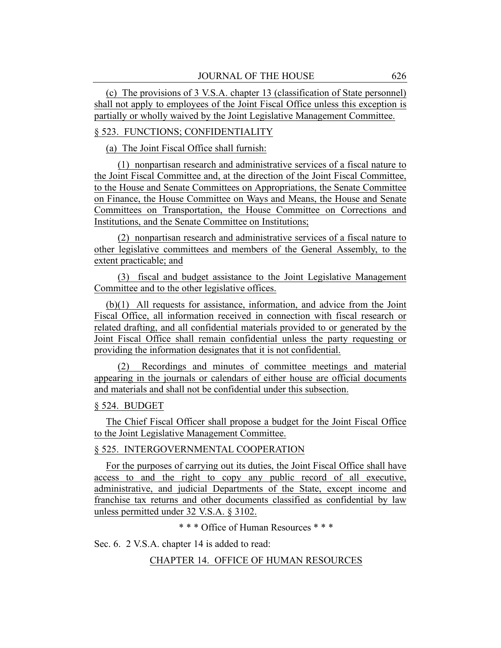(c) The provisions of 3 V.S.A. chapter 13 (classification of State personnel) shall not apply to employees of the Joint Fiscal Office unless this exception is partially or wholly waived by the Joint Legislative Management Committee.

# § 523. FUNCTIONS; CONFIDENTIALITY

(a) The Joint Fiscal Office shall furnish:

(1) nonpartisan research and administrative services of a fiscal nature to the Joint Fiscal Committee and, at the direction of the Joint Fiscal Committee, to the House and Senate Committees on Appropriations, the Senate Committee on Finance, the House Committee on Ways and Means, the House and Senate Committees on Transportation, the House Committee on Corrections and Institutions, and the Senate Committee on Institutions;

(2) nonpartisan research and administrative services of a fiscal nature to other legislative committees and members of the General Assembly, to the extent practicable; and

(3) fiscal and budget assistance to the Joint Legislative Management Committee and to the other legislative offices.

(b)(1) All requests for assistance, information, and advice from the Joint Fiscal Office, all information received in connection with fiscal research or related drafting, and all confidential materials provided to or generated by the Joint Fiscal Office shall remain confidential unless the party requesting or providing the information designates that it is not confidential.

(2) Recordings and minutes of committee meetings and material appearing in the journals or calendars of either house are official documents and materials and shall not be confidential under this subsection.

# § 524. BUDGET

The Chief Fiscal Officer shall propose a budget for the Joint Fiscal Office to the Joint Legislative Management Committee.

# § 525. INTERGOVERNMENTAL COOPERATION

For the purposes of carrying out its duties, the Joint Fiscal Office shall have access to and the right to copy any public record of all executive, administrative, and judicial Departments of the State, except income and franchise tax returns and other documents classified as confidential by law unless permitted under 32 V.S.A. § 3102.

\* \* \* Office of Human Resources \* \* \*

Sec. 6. 2 V.S.A. chapter 14 is added to read:

CHAPTER 14. OFFICE OF HUMAN RESOURCES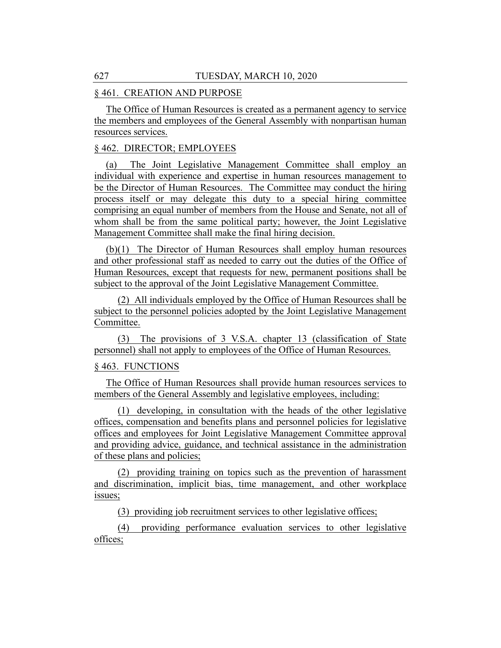# § 461. CREATION AND PURPOSE

The Office of Human Resources is created as a permanent agency to service the members and employees of the General Assembly with nonpartisan human resources services.

# § 462. DIRECTOR; EMPLOYEES

(a) The Joint Legislative Management Committee shall employ an individual with experience and expertise in human resources management to be the Director of Human Resources. The Committee may conduct the hiring process itself or may delegate this duty to a special hiring committee comprising an equal number of members from the House and Senate, not all of whom shall be from the same political party; however, the Joint Legislative Management Committee shall make the final hiring decision.

(b)(1) The Director of Human Resources shall employ human resources and other professional staff as needed to carry out the duties of the Office of Human Resources, except that requests for new, permanent positions shall be subject to the approval of the Joint Legislative Management Committee.

(2) All individuals employed by the Office of Human Resources shall be subject to the personnel policies adopted by the Joint Legislative Management Committee.

(3) The provisions of 3 V.S.A. chapter 13 (classification of State personnel) shall not apply to employees of the Office of Human Resources.

# § 463. FUNCTIONS

The Office of Human Resources shall provide human resources services to members of the General Assembly and legislative employees, including:

(1) developing, in consultation with the heads of the other legislative offices, compensation and benefits plans and personnel policies for legislative offices and employees for Joint Legislative Management Committee approval and providing advice, guidance, and technical assistance in the administration of these plans and policies;

(2) providing training on topics such as the prevention of harassment and discrimination, implicit bias, time management, and other workplace issues;

(3) providing job recruitment services to other legislative offices;

(4) providing performance evaluation services to other legislative offices;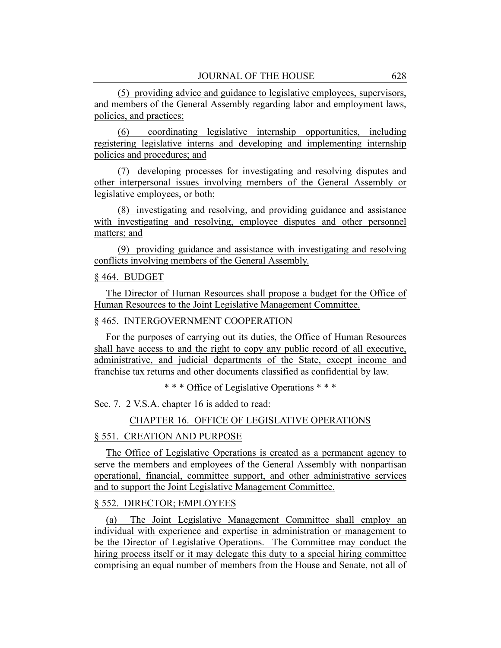(5) providing advice and guidance to legislative employees, supervisors, and members of the General Assembly regarding labor and employment laws, policies, and practices;

(6) coordinating legislative internship opportunities, including registering legislative interns and developing and implementing internship policies and procedures; and

(7) developing processes for investigating and resolving disputes and other interpersonal issues involving members of the General Assembly or legislative employees, or both;

(8) investigating and resolving, and providing guidance and assistance with investigating and resolving, employee disputes and other personnel matters; and

(9) providing guidance and assistance with investigating and resolving conflicts involving members of the General Assembly.

#### § 464. BUDGET

The Director of Human Resources shall propose a budget for the Office of Human Resources to the Joint Legislative Management Committee.

# § 465. INTERGOVERNMENT COOPERATION

For the purposes of carrying out its duties, the Office of Human Resources shall have access to and the right to copy any public record of all executive, administrative, and judicial departments of the State, except income and franchise tax returns and other documents classified as confidential by law.

\* \* \* Office of Legislative Operations \* \* \*

Sec. 7. 2 V.S.A. chapter 16 is added to read:

CHAPTER 16. OFFICE OF LEGISLATIVE OPERATIONS

# § 551. CREATION AND PURPOSE

The Office of Legislative Operations is created as a permanent agency to serve the members and employees of the General Assembly with nonpartisan operational, financial, committee support, and other administrative services and to support the Joint Legislative Management Committee.

#### § 552. DIRECTOR; EMPLOYEES

(a) The Joint Legislative Management Committee shall employ an individual with experience and expertise in administration or management to be the Director of Legislative Operations. The Committee may conduct the hiring process itself or it may delegate this duty to a special hiring committee comprising an equal number of members from the House and Senate, not all of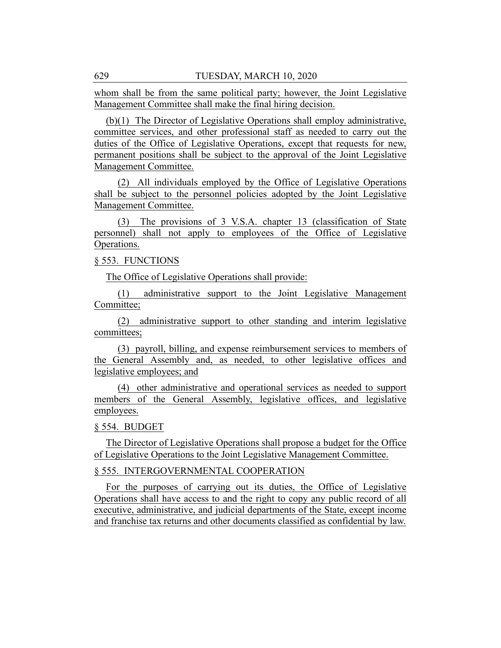whom shall be from the same political party; however, the Joint Legislative Management Committee shall make the final hiring decision.

(b)(1) The Director of Legislative Operations shall employ administrative, committee services, and other professional staff as needed to carry out the duties of the Office of Legislative Operations, except that requests for new, permanent positions shall be subject to the approval of the Joint Legislative Management Committee.

(2) All individuals employed by the Office of Legislative Operations shall be subject to the personnel policies adopted by the Joint Legislative Management Committee.

(3) The provisions of 3 V.S.A. chapter 13 (classification of State personnel) shall not apply to employees of the Office of Legislative Operations.

# § 553. FUNCTIONS

The Office of Legislative Operations shall provide:

(1) administrative support to the Joint Legislative Management Committee;

(2) administrative support to other standing and interim legislative committees;

(3) payroll, billing, and expense reimbursement services to members of the General Assembly and, as needed, to other legislative offices and legislative employees; and

(4) other administrative and operational services as needed to support members of the General Assembly, legislative offices, and legislative employees.

# § 554. BUDGET

The Director of Legislative Operations shall propose a budget for the Office of Legislative Operations to the Joint Legislative Management Committee.

# § 555. INTERGOVERNMENTAL COOPERATION

For the purposes of carrying out its duties, the Office of Legislative Operations shall have access to and the right to copy any public record of all executive, administrative, and judicial departments of the State, except income and franchise tax returns and other documents classified as confidential by law.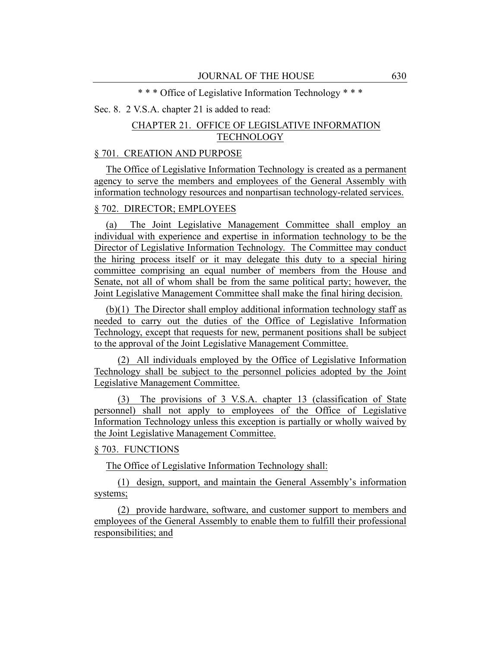\* \* \* Office of Legislative Information Technology \* \* \*

# Sec. 8. 2 V.S.A. chapter 21 is added to read:

# CHAPTER 21. OFFICE OF LEGISLATIVE INFORMATION **TECHNOLOGY**

# § 701. CREATION AND PURPOSE

The Office of Legislative Information Technology is created as a permanent agency to serve the members and employees of the General Assembly with information technology resources and nonpartisan technology-related services.

# § 702. DIRECTOR; EMPLOYEES

(a) The Joint Legislative Management Committee shall employ an individual with experience and expertise in information technology to be the Director of Legislative Information Technology. The Committee may conduct the hiring process itself or it may delegate this duty to a special hiring committee comprising an equal number of members from the House and Senate, not all of whom shall be from the same political party; however, the Joint Legislative Management Committee shall make the final hiring decision.

(b)(1) The Director shall employ additional information technology staff as needed to carry out the duties of the Office of Legislative Information Technology, except that requests for new, permanent positions shall be subject to the approval of the Joint Legislative Management Committee.

(2) All individuals employed by the Office of Legislative Information Technology shall be subject to the personnel policies adopted by the Joint Legislative Management Committee.

(3) The provisions of 3 V.S.A. chapter 13 (classification of State personnel) shall not apply to employees of the Office of Legislative Information Technology unless this exception is partially or wholly waived by the Joint Legislative Management Committee.

# § 703. FUNCTIONS

The Office of Legislative Information Technology shall:

(1) design, support, and maintain the General Assembly's information systems;

(2) provide hardware, software, and customer support to members and employees of the General Assembly to enable them to fulfill their professional responsibilities; and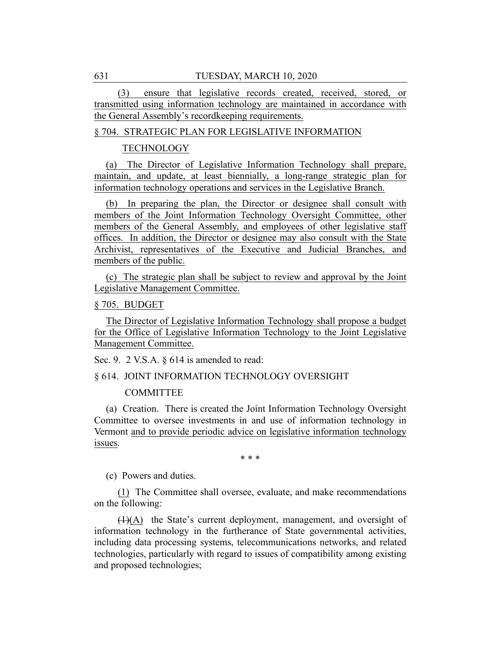(3) ensure that legislative records created, received, stored, or transmitted using information technology are maintained in accordance with the General Assembly's recordkeeping requirements.

## § 704. STRATEGIC PLAN FOR LEGISLATIVE INFORMATION

#### **TECHNOLOGY**

(a) The Director of Legislative Information Technology shall prepare, maintain, and update, at least biennially, a long-range strategic plan for information technology operations and services in the Legislative Branch.

(b) In preparing the plan, the Director or designee shall consult with members of the Joint Information Technology Oversight Committee, other members of the General Assembly, and employees of other legislative staff offices. In addition, the Director or designee may also consult with the State Archivist, representatives of the Executive and Judicial Branches, and members of the public.

(c) The strategic plan shall be subject to review and approval by the Joint Legislative Management Committee.

#### § 705. BUDGET

The Director of Legislative Information Technology shall propose a budget for the Office of Legislative Information Technology to the Joint Legislative Management Committee.

Sec. 9. 2 V.S.A. § 614 is amended to read:

# § 614. JOINT INFORMATION TECHNOLOGY OVERSIGHT

COMMITTEE

(a) Creation. There is created the Joint Information Technology Oversight Committee to oversee investments in and use of information technology in Vermont and to provide periodic advice on legislative information technology issues.

\* \* \*

(c) Powers and duties.

(1) The Committee shall oversee, evaluate, and make recommendations on the following:

(1)(A) the State's current deployment, management, and oversight of information technology in the furtherance of State governmental activities, including data processing systems, telecommunications networks, and related technologies, particularly with regard to issues of compatibility among existing and proposed technologies;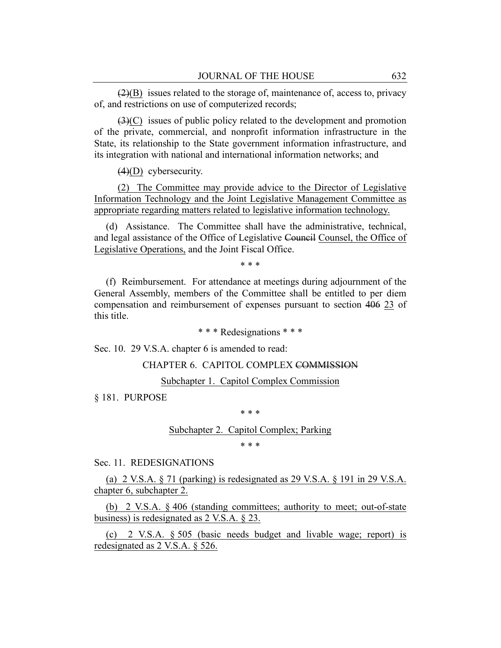$(2)(B)$  issues related to the storage of, maintenance of, access to, privacy of, and restrictions on use of computerized records;

(3)(C) issues of public policy related to the development and promotion of the private, commercial, and nonprofit information infrastructure in the State, its relationship to the State government information infrastructure, and its integration with national and international information networks; and

(4)(D) cybersecurity.

(2) The Committee may provide advice to the Director of Legislative Information Technology and the Joint Legislative Management Committee as appropriate regarding matters related to legislative information technology.

(d) Assistance. The Committee shall have the administrative, technical, and legal assistance of the Office of Legislative Council Counsel, the Office of Legislative Operations, and the Joint Fiscal Office.

\* \* \*

(f) Reimbursement. For attendance at meetings during adjournment of the General Assembly, members of the Committee shall be entitled to per diem compensation and reimbursement of expenses pursuant to section 406 23 of this title.

\* \* \* Redesignations \* \* \*

Sec. 10. 29 V.S.A. chapter 6 is amended to read:

CHAPTER 6. CAPITOL COMPLEX COMMISSION

Subchapter 1. Capitol Complex Commission

§ 181. PURPOSE

\* \* \*

#### Subchapter 2. Capitol Complex; Parking

\* \* \*

Sec. 11. REDESIGNATIONS

(a) 2 V.S.A. § 71 (parking) is redesignated as 29 V.S.A. § 191 in 29 V.S.A. chapter 6, subchapter 2.

(b) 2 V.S.A. § 406 (standing committees; authority to meet; out-of-state business) is redesignated as 2 V.S.A. § 23.

(c) 2 V.S.A. § 505 (basic needs budget and livable wage; report) is redesignated as 2 V.S.A. § 526.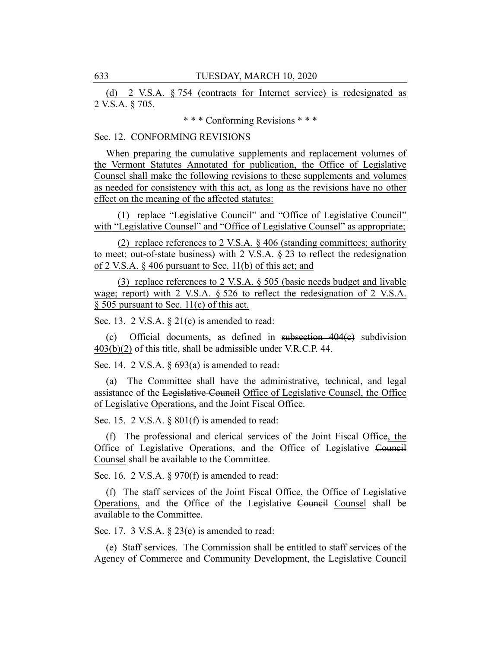(d) 2 V.S.A. § 754 (contracts for Internet service) is redesignated as 2 V.S.A. § 705.

\* \* \* Conforming Revisions \* \* \*

# Sec. 12. CONFORMING REVISIONS

When preparing the cumulative supplements and replacement volumes of the Vermont Statutes Annotated for publication, the Office of Legislative Counsel shall make the following revisions to these supplements and volumes as needed for consistency with this act, as long as the revisions have no other effect on the meaning of the affected statutes:

(1) replace "Legislative Council" and "Office of Legislative Council" with "Legislative Counsel" and "Office of Legislative Counsel" as appropriate;

(2) replace references to 2 V.S.A. § 406 (standing committees; authority to meet; out-of-state business) with 2 V.S.A. § 23 to reflect the redesignation of 2 V.S.A. § 406 pursuant to Sec. 11(b) of this act; and

(3) replace references to 2 V.S.A. § 505 (basic needs budget and livable wage; report) with 2 V.S.A. § 526 to reflect the redesignation of 2 V.S.A.  $\S$  505 pursuant to Sec. 11(c) of this act.

Sec. 13. 2 V.S.A. § 21(c) is amended to read:

(c) Official documents, as defined in subsection 404(c) subdivision 403(b)(2) of this title, shall be admissible under V.R.C.P. 44.

Sec. 14. 2 V.S.A. § 693(a) is amended to read:

(a) The Committee shall have the administrative, technical, and legal assistance of the Legislative Council Office of Legislative Counsel, the Office of Legislative Operations, and the Joint Fiscal Office.

Sec. 15. 2 V.S.A. § 801(f) is amended to read:

(f) The professional and clerical services of the Joint Fiscal Office, the Office of Legislative Operations, and the Office of Legislative Council Counsel shall be available to the Committee.

Sec. 16. 2 V.S.A. § 970(f) is amended to read:

(f) The staff services of the Joint Fiscal Office, the Office of Legislative Operations, and the Office of the Legislative Council Counsel shall be available to the Committee.

Sec. 17. 3 V.S.A. § 23(e) is amended to read:

(e) Staff services. The Commission shall be entitled to staff services of the Agency of Commerce and Community Development, the Legislative Council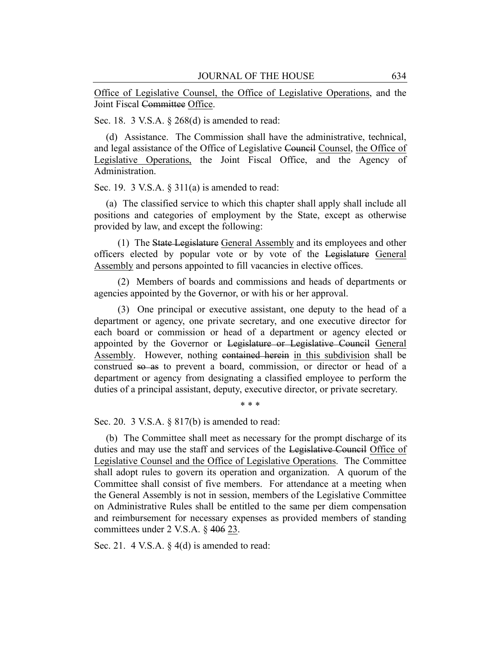Office of Legislative Counsel, the Office of Legislative Operations, and the Joint Fiscal Committee Office.

Sec. 18. 3 V.S.A. § 268(d) is amended to read:

(d) Assistance. The Commission shall have the administrative, technical, and legal assistance of the Office of Legislative Council Counsel, the Office of Legislative Operations, the Joint Fiscal Office, and the Agency of Administration.

Sec. 19. 3 V.S.A.  $\S 311(a)$  is amended to read:

(a) The classified service to which this chapter shall apply shall include all positions and categories of employment by the State, except as otherwise provided by law, and except the following:

(1) The State Legislature General Assembly and its employees and other officers elected by popular vote or by vote of the Legislature General Assembly and persons appointed to fill vacancies in elective offices.

(2) Members of boards and commissions and heads of departments or agencies appointed by the Governor, or with his or her approval.

(3) One principal or executive assistant, one deputy to the head of a department or agency, one private secretary, and one executive director for each board or commission or head of a department or agency elected or appointed by the Governor or Legislature or Legislative Council General Assembly. However, nothing contained herein in this subdivision shall be construed so as to prevent a board, commission, or director or head of a department or agency from designating a classified employee to perform the duties of a principal assistant, deputy, executive director, or private secretary.

\* \* \*

Sec. 20. 3 V.S.A. § 817(b) is amended to read:

(b) The Committee shall meet as necessary for the prompt discharge of its duties and may use the staff and services of the Legislative Council Office of Legislative Counsel and the Office of Legislative Operations. The Committee shall adopt rules to govern its operation and organization. A quorum of the Committee shall consist of five members. For attendance at a meeting when the General Assembly is not in session, members of the Legislative Committee on Administrative Rules shall be entitled to the same per diem compensation and reimbursement for necessary expenses as provided members of standing committees under 2 V.S.A. § 406 23.

Sec. 21. 4 V.S.A.  $\S$  4(d) is amended to read: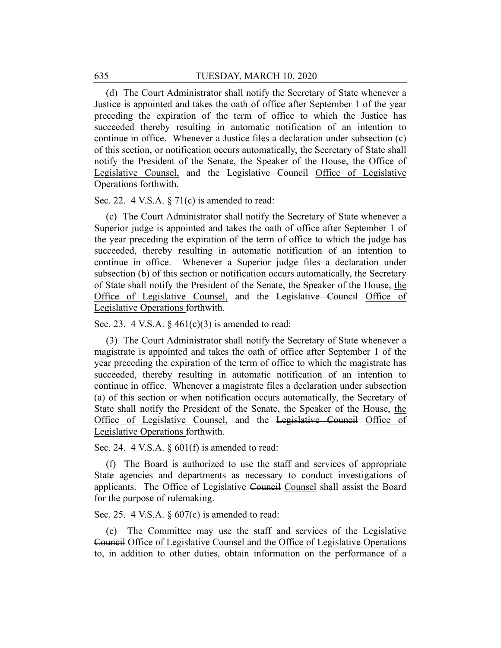(d) The Court Administrator shall notify the Secretary of State whenever a Justice is appointed and takes the oath of office after September 1 of the year preceding the expiration of the term of office to which the Justice has succeeded thereby resulting in automatic notification of an intention to continue in office. Whenever a Justice files a declaration under subsection (c) of this section, or notification occurs automatically, the Secretary of State shall notify the President of the Senate, the Speaker of the House, the Office of Legislative Counsel, and the Legislative Council Office of Legislative Operations forthwith.

Sec. 22. 4 V.S.A. § 71(c) is amended to read:

(c) The Court Administrator shall notify the Secretary of State whenever a Superior judge is appointed and takes the oath of office after September 1 of the year preceding the expiration of the term of office to which the judge has succeeded, thereby resulting in automatic notification of an intention to continue in office. Whenever a Superior judge files a declaration under subsection (b) of this section or notification occurs automatically, the Secretary of State shall notify the President of the Senate, the Speaker of the House, the Office of Legislative Counsel, and the Legislative Council Office of Legislative Operations forthwith.

Sec. 23. 4 V.S.A.  $\S$  461(c)(3) is amended to read:

(3) The Court Administrator shall notify the Secretary of State whenever a magistrate is appointed and takes the oath of office after September 1 of the year preceding the expiration of the term of office to which the magistrate has succeeded, thereby resulting in automatic notification of an intention to continue in office. Whenever a magistrate files a declaration under subsection (a) of this section or when notification occurs automatically, the Secretary of State shall notify the President of the Senate, the Speaker of the House, the Office of Legislative Counsel, and the Legislative Council Office of Legislative Operations forthwith.

Sec. 24. 4 V.S.A. § 601(f) is amended to read:

(f) The Board is authorized to use the staff and services of appropriate State agencies and departments as necessary to conduct investigations of applicants. The Office of Legislative Council Counsel shall assist the Board for the purpose of rulemaking.

Sec. 25. 4 V.S.A.  $\S 607(c)$  is amended to read:

(c) The Committee may use the staff and services of the Legislative Council Office of Legislative Counsel and the Office of Legislative Operations to, in addition to other duties, obtain information on the performance of a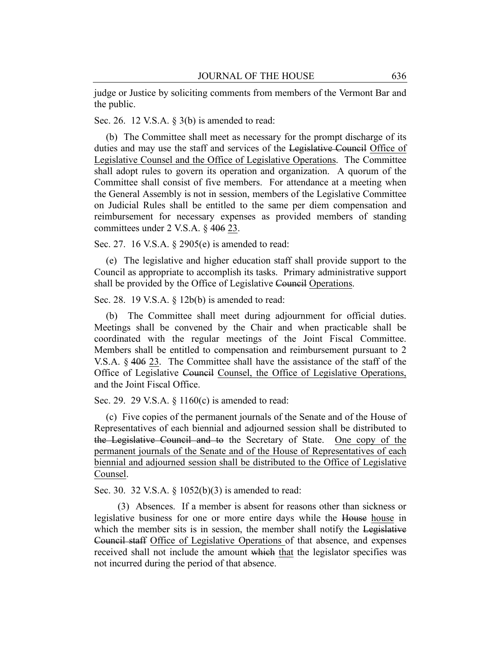judge or Justice by soliciting comments from members of the Vermont Bar and the public.

Sec. 26. 12 V.S.A. § 3(b) is amended to read:

(b) The Committee shall meet as necessary for the prompt discharge of its duties and may use the staff and services of the Legislative Council Office of Legislative Counsel and the Office of Legislative Operations. The Committee shall adopt rules to govern its operation and organization. A quorum of the Committee shall consist of five members. For attendance at a meeting when the General Assembly is not in session, members of the Legislative Committee on Judicial Rules shall be entitled to the same per diem compensation and reimbursement for necessary expenses as provided members of standing committees under 2 V.S.A. § 406 23.

Sec. 27. 16 V.S.A. § 2905(e) is amended to read:

(e) The legislative and higher education staff shall provide support to the Council as appropriate to accomplish its tasks. Primary administrative support shall be provided by the Office of Legislative Council Operations.

Sec. 28. 19 V.S.A. § 12b(b) is amended to read:

(b) The Committee shall meet during adjournment for official duties. Meetings shall be convened by the Chair and when practicable shall be coordinated with the regular meetings of the Joint Fiscal Committee. Members shall be entitled to compensation and reimbursement pursuant to 2 V.S.A. § 406 23. The Committee shall have the assistance of the staff of the Office of Legislative Council Counsel, the Office of Legislative Operations, and the Joint Fiscal Office.

Sec. 29. 29 V.S.A. § 1160(c) is amended to read:

(c) Five copies of the permanent journals of the Senate and of the House of Representatives of each biennial and adjourned session shall be distributed to the Legislative Council and to the Secretary of State. One copy of the permanent journals of the Senate and of the House of Representatives of each biennial and adjourned session shall be distributed to the Office of Legislative Counsel.

Sec. 30. 32 V.S.A. § 1052(b)(3) is amended to read:

(3) Absences. If a member is absent for reasons other than sickness or legislative business for one or more entire days while the House house in which the member sits is in session, the member shall notify the Legislative Council staff Office of Legislative Operations of that absence, and expenses received shall not include the amount which that the legislator specifies was not incurred during the period of that absence.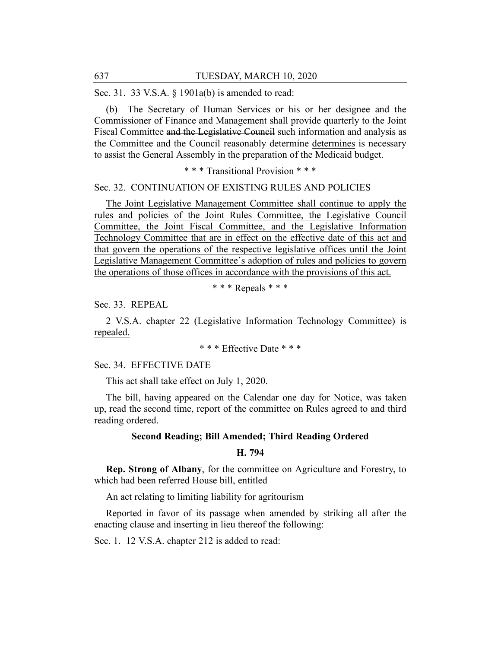Sec. 31. 33 V.S.A. § 1901a(b) is amended to read:

(b) The Secretary of Human Services or his or her designee and the Commissioner of Finance and Management shall provide quarterly to the Joint Fiscal Committee and the Legislative Council such information and analysis as the Committee and the Council reasonably determine determines is necessary to assist the General Assembly in the preparation of the Medicaid budget.

#### \* \* \* Transitional Provision \* \* \*

#### Sec. 32. CONTINUATION OF EXISTING RULES AND POLICIES

The Joint Legislative Management Committee shall continue to apply the rules and policies of the Joint Rules Committee, the Legislative Council Committee, the Joint Fiscal Committee, and the Legislative Information Technology Committee that are in effect on the effective date of this act and that govern the operations of the respective legislative offices until the Joint Legislative Management Committee's adoption of rules and policies to govern the operations of those offices in accordance with the provisions of this act.

\* \* \* Repeals \* \* \*

Sec. 33. REPEAL

2 V.S.A. chapter 22 (Legislative Information Technology Committee) is repealed.

\* \* \* Effective Date \* \* \*

Sec. 34. EFFECTIVE DATE

This act shall take effect on July 1, 2020.

The bill, having appeared on the Calendar one day for Notice, was taken up, read the second time, report of the committee on Rules agreed to and third reading ordered.

# **Second Reading; Bill Amended; Third Reading Ordered**

# **H. 794**

**Rep. Strong of Albany**, for the committee on Agriculture and Forestry, to which had been referred House bill, entitled

An act relating to limiting liability for agritourism

Reported in favor of its passage when amended by striking all after the enacting clause and inserting in lieu thereof the following:

Sec. 1. 12 V.S.A. chapter 212 is added to read: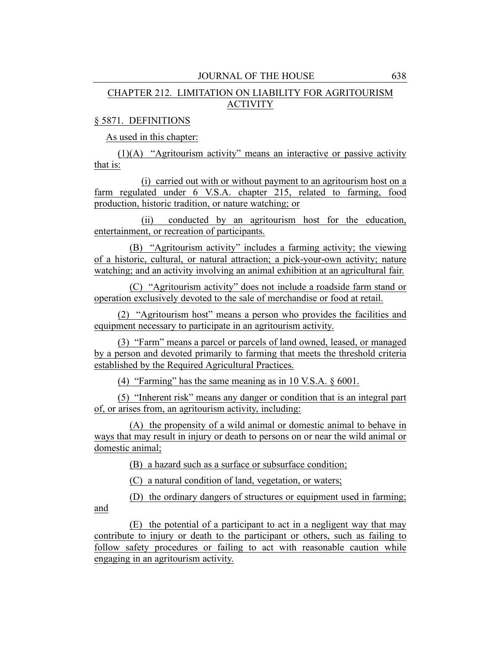# CHAPTER 212. LIMITATION ON LIABILITY FOR AGRITOURISM ACTIVITY

# § 5871. DEFINITIONS

and

As used in this chapter:

(1)(A) "Agritourism activity" means an interactive or passive activity that is:

(i) carried out with or without payment to an agritourism host on a farm regulated under 6 V.S.A. chapter 215, related to farming, food production, historic tradition, or nature watching; or

(ii) conducted by an agritourism host for the education, entertainment, or recreation of participants.

(B) "Agritourism activity" includes a farming activity; the viewing of a historic, cultural, or natural attraction; a pick-your-own activity; nature watching; and an activity involving an animal exhibition at an agricultural fair.

(C) "Agritourism activity" does not include a roadside farm stand or operation exclusively devoted to the sale of merchandise or food at retail.

(2) "Agritourism host" means a person who provides the facilities and equipment necessary to participate in an agritourism activity.

(3) "Farm" means a parcel or parcels of land owned, leased, or managed by a person and devoted primarily to farming that meets the threshold criteria established by the Required Agricultural Practices.

(4) "Farming" has the same meaning as in 10 V.S.A. § 6001.

(5) "Inherent risk" means any danger or condition that is an integral part of, or arises from, an agritourism activity, including:

(A) the propensity of a wild animal or domestic animal to behave in ways that may result in injury or death to persons on or near the wild animal or domestic animal;

(B) a hazard such as a surface or subsurface condition;

(C) a natural condition of land, vegetation, or waters;

(D) the ordinary dangers of structures or equipment used in farming;

(E) the potential of a participant to act in a negligent way that may contribute to injury or death to the participant or others, such as failing to follow safety procedures or failing to act with reasonable caution while engaging in an agritourism activity.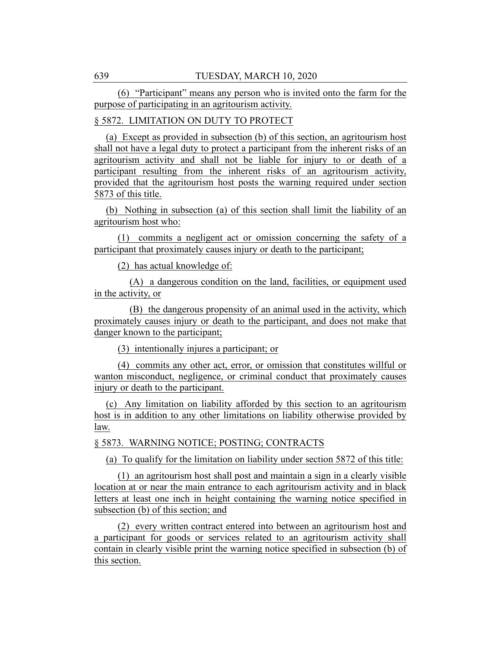(6) "Participant" means any person who is invited onto the farm for the purpose of participating in an agritourism activity.

# § 5872. LIMITATION ON DUTY TO PROTECT

(a) Except as provided in subsection (b) of this section, an agritourism host shall not have a legal duty to protect a participant from the inherent risks of an agritourism activity and shall not be liable for injury to or death of a participant resulting from the inherent risks of an agritourism activity, provided that the agritourism host posts the warning required under section 5873 of this title.

(b) Nothing in subsection (a) of this section shall limit the liability of an agritourism host who:

(1) commits a negligent act or omission concerning the safety of a participant that proximately causes injury or death to the participant;

(2) has actual knowledge of:

(A) a dangerous condition on the land, facilities, or equipment used in the activity, or

(B) the dangerous propensity of an animal used in the activity, which proximately causes injury or death to the participant, and does not make that danger known to the participant;

(3) intentionally injures a participant; or

(4) commits any other act, error, or omission that constitutes willful or wanton misconduct, negligence, or criminal conduct that proximately causes injury or death to the participant.

(c) Any limitation on liability afforded by this section to an agritourism host is in addition to any other limitations on liability otherwise provided by law.

§ 5873. WARNING NOTICE; POSTING; CONTRACTS

(a) To qualify for the limitation on liability under section 5872 of this title:

(1) an agritourism host shall post and maintain a sign in a clearly visible location at or near the main entrance to each agritourism activity and in black letters at least one inch in height containing the warning notice specified in subsection (b) of this section; and

(2) every written contract entered into between an agritourism host and a participant for goods or services related to an agritourism activity shall contain in clearly visible print the warning notice specified in subsection (b) of this section.